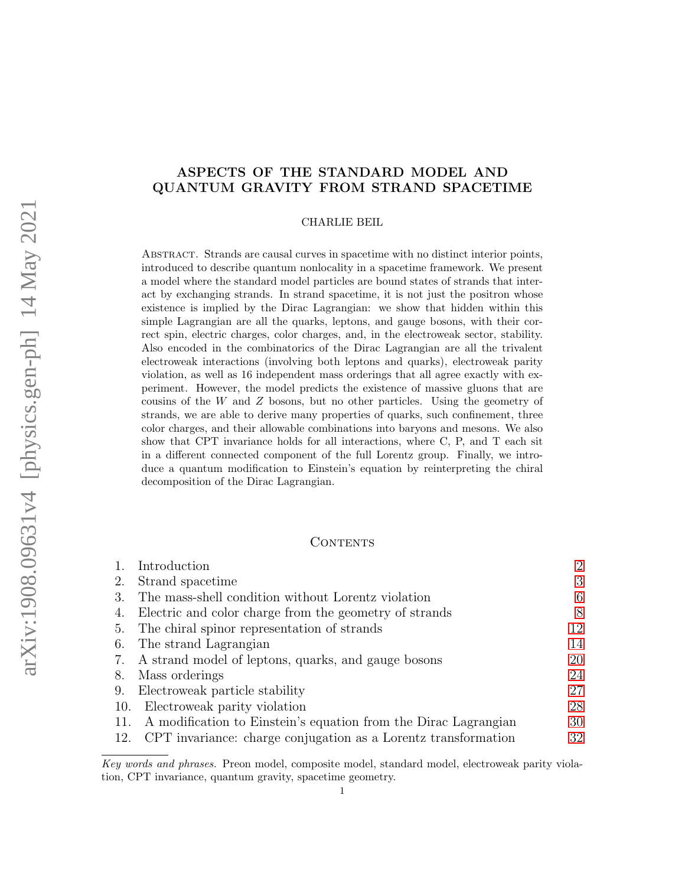# ASPECTS OF THE STANDARD MODEL AND QUANTUM GRAVITY FROM STRAND SPACETIME

### CHARLIE BEIL

Abstract. Strands are causal curves in spacetime with no distinct interior points, introduced to describe quantum nonlocality in a spacetime framework. We present a model where the standard model particles are bound states of strands that interact by exchanging strands. In strand spacetime, it is not just the positron whose existence is implied by the Dirac Lagrangian: we show that hidden within this simple Lagrangian are all the quarks, leptons, and gauge bosons, with their correct spin, electric charges, color charges, and, in the electroweak sector, stability. Also encoded in the combinatorics of the Dirac Lagrangian are all the trivalent electroweak interactions (involving both leptons and quarks), electroweak parity violation, as well as 16 independent mass orderings that all agree exactly with experiment. However, the model predicts the existence of massive gluons that are cousins of the W and Z bosons, but no other particles. Using the geometry of strands, we are able to derive many properties of quarks, such confinement, three color charges, and their allowable combinations into baryons and mesons. We also show that CPT invariance holds for all interactions, where C, P, and T each sit in a different connected component of the full Lorentz group. Finally, we introduce a quantum modification to Einstein's equation by reinterpreting the chiral decomposition of the Dirac Lagrangian.

### CONTENTS

|     | Introduction                                                    | $\overline{2}$ |
|-----|-----------------------------------------------------------------|----------------|
| 2.  | Strand spacetime                                                | 3              |
| 3.  | The mass-shell condition without Lorentz violation              | 6              |
| 4.  | Electric and color charge from the geometry of strands          | 8              |
| b.  | The chiral spinor representation of strands                     | 12             |
| 6.  | The strand Lagrangian                                           | 14             |
| 7.  | A strand model of leptons, quarks, and gauge bosons             | 20             |
| 8.  | Mass orderings                                                  | 24             |
| 9.  | Electroweak particle stability                                  | 27             |
| 10. | Electroweak parity violation                                    | 28             |
| 11. | A modification to Einstein's equation from the Dirac Lagrangian | 30             |
| 12. | CPT invariance: charge conjugation as a Lorentz transformation  | 32             |

Key words and phrases. Preon model, composite model, standard model, electroweak parity violation, CPT invariance, quantum gravity, spacetime geometry.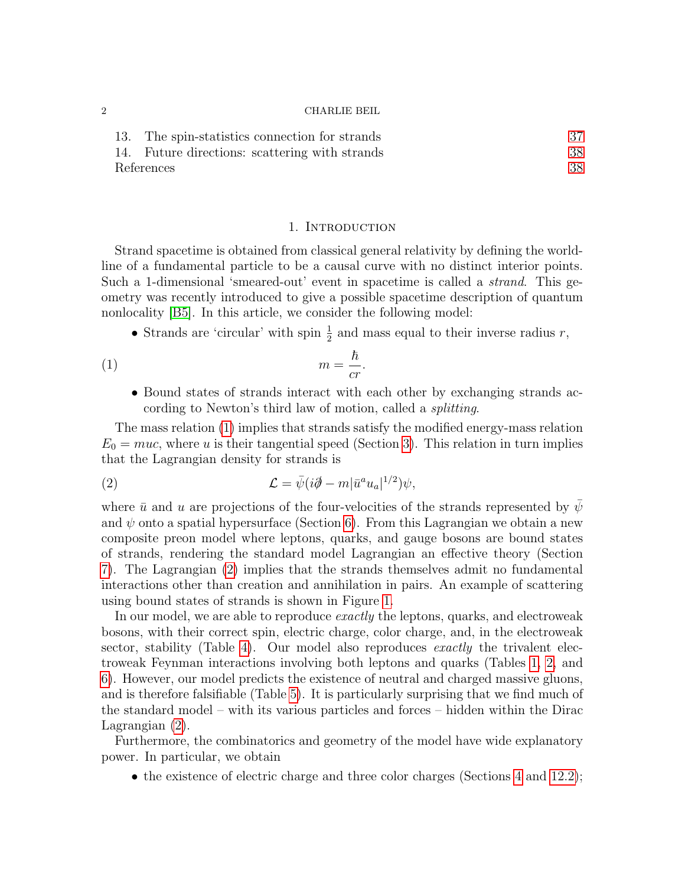| 13. The spin-statistics connection for strands |    |
|------------------------------------------------|----|
| 14. Future directions: scattering with strands | 38 |
| References                                     | 38 |

### <span id="page-1-1"></span>1. Introduction

<span id="page-1-0"></span>Strand spacetime is obtained from classical general relativity by defining the worldline of a fundamental particle to be a causal curve with no distinct interior points. Such a 1-dimensional 'smeared-out' event in spacetime is called a strand. This geometry was recently introduced to give a possible spacetime description of quantum nonlocality [\[B5\]](#page-38-0). In this article, we consider the following model:

• Strands are 'circular' with spin  $\frac{1}{2}$  and mass equal to their inverse radius r,

$$
(1) \t\t\t m = \frac{\hbar}{cr}.
$$

<span id="page-1-2"></span>• Bound states of strands interact with each other by exchanging strands according to Newton's third law of motion, called a splitting.

The mass relation [\(1\)](#page-1-1) implies that strands satisfy the modified energy-mass relation  $E_0 = muc$ , where u is their tangential speed (Section [3\)](#page-5-0). This relation in turn implies that the Lagrangian density for strands is

(2) 
$$
\mathcal{L} = \bar{\psi}(i\partial \!\!\!/- m|\bar{u}^a u_a|^{1/2})\psi,
$$

where  $\bar{u}$  and u are projections of the four-velocities of the strands represented by  $\psi$ and  $\psi$  onto a spatial hypersurface (Section [6\)](#page-13-0). From this Lagrangian we obtain a new composite preon model where leptons, quarks, and gauge bosons are bound states of strands, rendering the standard model Lagrangian an effective theory (Section [7\)](#page-19-0). The Lagrangian [\(2\)](#page-1-2) implies that the strands themselves admit no fundamental interactions other than creation and annihilation in pairs. An example of scattering using bound states of strands is shown in Figure [1.](#page-3-0)

In our model, we are able to reproduce exactly the leptons, quarks, and electroweak bosons, with their correct spin, electric charge, color charge, and, in the electroweak sector, stability (Table [4\)](#page-18-0). Our model also reproduces *exactly* the trivalent electroweak Feynman interactions involving both leptons and quarks (Tables [1,](#page-3-1) [2,](#page-4-0) and [6\)](#page-24-0). However, our model predicts the existence of neutral and charged massive gluons, and is therefore falsifiable (Table [5\)](#page-23-1). It is particularly surprising that we find much of the standard model – with its various particles and forces – hidden within the Dirac Lagrangian [\(2\)](#page-1-2).

Furthermore, the combinatorics and geometry of the model have wide explanatory power. In particular, we obtain

• the existence of electric charge and three color charges (Sections [4](#page-7-0) and [12.2\)](#page-31-1);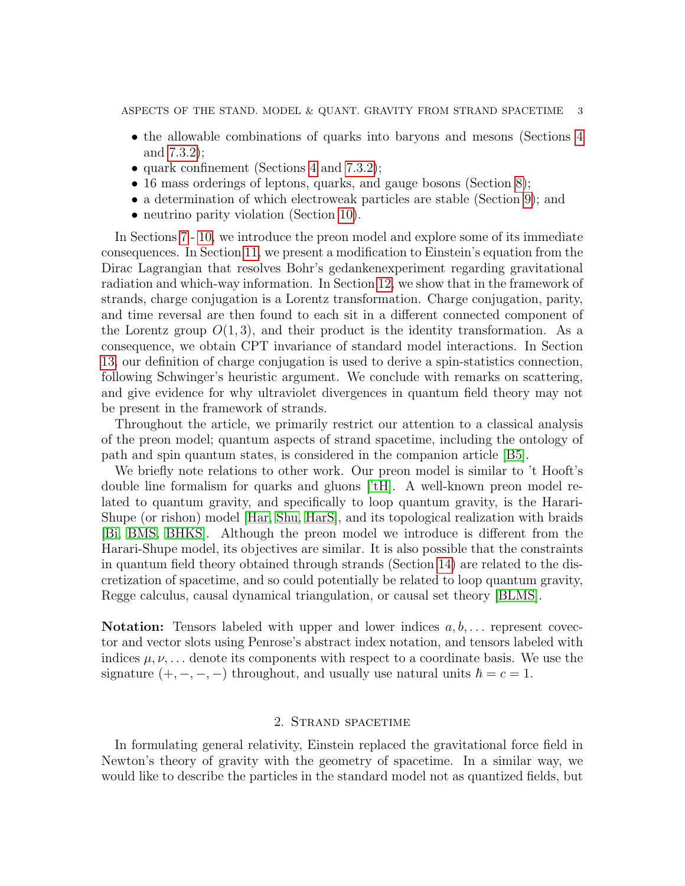ASPECTS OF THE STAND. MODEL  $\&$  QUANT. GRAVITY FROM STRAND SPACETIME 3

- the allowable combinations of quarks into baryons and mesons (Sections [4](#page-7-0)) and [7.3.2\)](#page-21-0);
- quark confinement (Sections [4](#page-7-0) and [7.3.2\)](#page-21-0);
- 16 mass orderings of leptons, quarks, and gauge bosons (Section [8\)](#page-23-0);
- a determination of which electroweak particles are stable (Section [9\)](#page-26-0); and
- neutrino parity violation (Section [10\)](#page-27-0).

In Sections [7](#page-19-0) - [10,](#page-27-0) we introduce the preon model and explore some of its immediate consequences. In Section [11,](#page-29-0) we present a modification to Einstein's equation from the Dirac Lagrangian that resolves Bohr's gedankenexperiment regarding gravitational radiation and which-way information. In Section [12,](#page-31-0) we show that in the framework of strands, charge conjugation is a Lorentz transformation. Charge conjugation, parity, and time reversal are then found to each sit in a different connected component of the Lorentz group  $O(1, 3)$ , and their product is the identity transformation. As a consequence, we obtain CPT invariance of standard model interactions. In Section [13,](#page-36-0) our definition of charge conjugation is used to derive a spin-statistics connection, following Schwinger's heuristic argument. We conclude with remarks on scattering, and give evidence for why ultraviolet divergences in quantum field theory may not be present in the framework of strands.

Throughout the article, we primarily restrict our attention to a classical analysis of the preon model; quantum aspects of strand spacetime, including the ontology of path and spin quantum states, is considered in the companion article [\[B5\]](#page-38-0).

We briefly note relations to other work. Our preon model is similar to 't Hooft's double line formalism for quarks and gluons [\['tH\]](#page-38-1). A well-known preon model related to quantum gravity, and specifically to loop quantum gravity, is the Harari-Shupe (or rishon) model [\[Har,](#page-38-2) [Shu,](#page-38-3) [HarS\]](#page-38-4), and its topological realization with braids [\[Bi,](#page-38-5) [BMS,](#page-38-6) [BHKS\]](#page-38-7). Although the preon model we introduce is different from the Harari-Shupe model, its objectives are similar. It is also possible that the constraints in quantum field theory obtained through strands (Section [14\)](#page-37-0) are related to the discretization of spacetime, and so could potentially be related to loop quantum gravity, Regge calculus, causal dynamical triangulation, or causal set theory [\[BLMS\]](#page-38-8).

**Notation:** Tensors labeled with upper and lower indices  $a, b, \ldots$  represent covector and vector slots using Penrose's abstract index notation, and tensors labeled with indices  $\mu, \nu, \ldots$  denote its components with respect to a coordinate basis. We use the signature  $(+, -, -, -)$  throughout, and usually use natural units  $\hbar = c = 1$ .

## 2. Strand spacetime

<span id="page-2-0"></span>In formulating general relativity, Einstein replaced the gravitational force field in Newton's theory of gravity with the geometry of spacetime. In a similar way, we would like to describe the particles in the standard model not as quantized fields, but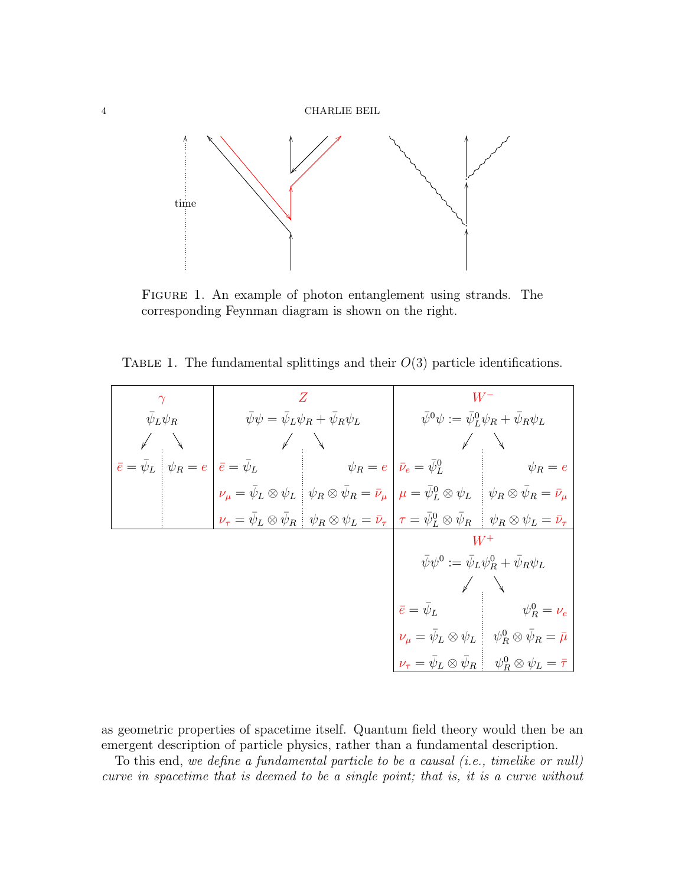

<span id="page-3-0"></span>Figure 1. An example of photon entanglement using strands. The corresponding Feynman diagram is shown on the right.

<span id="page-3-1"></span>TABLE 1. The fundamental splittings and their  $O(3)$  particle identifications.

| $\gamma$              |  |                                                                      | Ζ                                                                                                                                                                                                           | $W^{\rm -}$                                                        |                                                                                                                                   |  |  |
|-----------------------|--|----------------------------------------------------------------------|-------------------------------------------------------------------------------------------------------------------------------------------------------------------------------------------------------------|--------------------------------------------------------------------|-----------------------------------------------------------------------------------------------------------------------------------|--|--|
| $\bar{\psi}_L \psi_R$ |  | $\bar{\psi}\psi = \bar{\psi}_L\psi_R + \bar{\psi}_R\psi_L$           |                                                                                                                                                                                                             | $\bar{\psi}^0 \psi := \bar{\psi}_L^0 \psi_R + \bar{\psi}_R \psi_L$ |                                                                                                                                   |  |  |
|                       |  |                                                                      |                                                                                                                                                                                                             |                                                                    |                                                                                                                                   |  |  |
|                       |  | $\bar{e} = \bar{\psi}_L \mid \psi_R = e \mid \bar{e} = \bar{\psi}_L$ | $\psi_R = e \mid \bar{\nu}_e = \bar{\psi}_L^0$                                                                                                                                                              |                                                                    | $\psi_R = e$                                                                                                                      |  |  |
|                       |  |                                                                      | $\nu_{\mu} = \bar{\psi}_L \otimes \psi_L \left[ \psi_R \otimes \bar{\psi}_R = \bar{\nu}_{\mu} \right] \mu = \bar{\psi}_L^0 \otimes \psi_L \left[ \psi_R \otimes \bar{\psi}_R = \bar{\nu}_{\mu} \right]$     |                                                                    |                                                                                                                                   |  |  |
|                       |  |                                                                      | $\nu_{\tau} = \bar{\psi}_L \otimes \bar{\psi}_R \left[ \psi_R \otimes \psi_L = \bar{\nu}_{\tau} \right] \tau = \bar{\psi}_L^0 \otimes \bar{\psi}_R \left[ \psi_R \otimes \psi_L = \bar{\nu}_{\tau} \right]$ |                                                                    |                                                                                                                                   |  |  |
|                       |  |                                                                      |                                                                                                                                                                                                             |                                                                    | $W^+$                                                                                                                             |  |  |
|                       |  |                                                                      |                                                                                                                                                                                                             | $\bar{\psi}\psi^0 := \bar{\psi}_L\psi^0_R + \bar{\psi}_R\psi_L$    |                                                                                                                                   |  |  |
|                       |  |                                                                      |                                                                                                                                                                                                             |                                                                    |                                                                                                                                   |  |  |
|                       |  |                                                                      |                                                                                                                                                                                                             | $\bar{e}=\bar{\psi}_L$                                             | $\psi_R^0 = \nu_e$                                                                                                                |  |  |
|                       |  |                                                                      |                                                                                                                                                                                                             |                                                                    | $\nu_{\mu} = \bar{\psi}_L \otimes \psi_L \quad \psi_R^0 \otimes \bar{\psi}_R = \bar{\mu}$                                         |  |  |
|                       |  |                                                                      |                                                                                                                                                                                                             |                                                                    | $\nu_{\tau} = \bar{\psi}_L \otimes \bar{\psi}_R \left  \begin{array}{c} \psi_R^0 \otimes \psi_L = \bar{\tau} \end{array} \right $ |  |  |

as geometric properties of spacetime itself. Quantum field theory would then be an emergent description of particle physics, rather than a fundamental description.

To this end, we define a fundamental particle to be a causal (i.e., timelike or null) curve in spacetime that is deemed to be a single point; that is, it is a curve without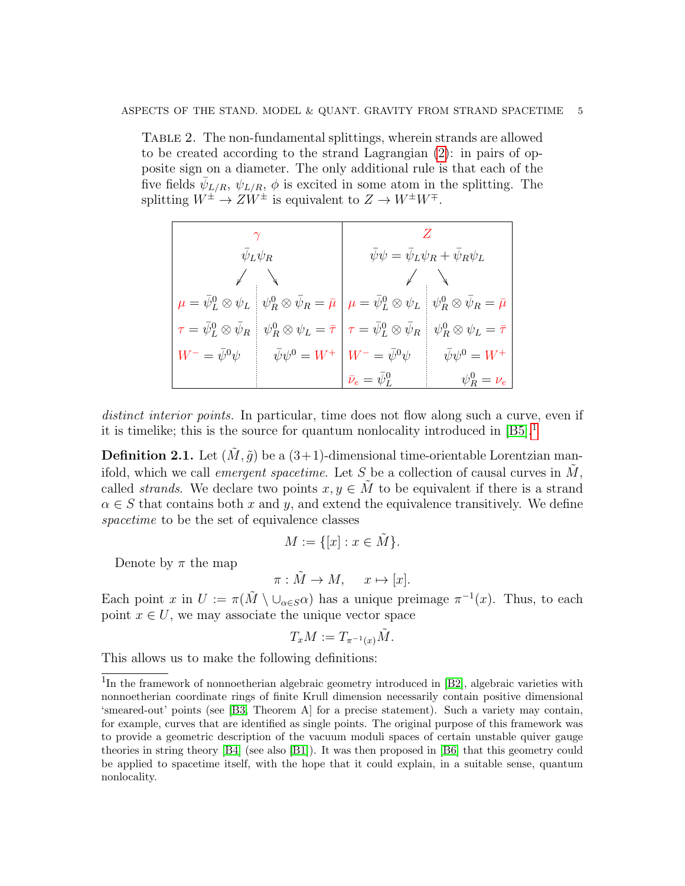<span id="page-4-0"></span>Table 2. The non-fundamental splittings, wherein strands are allowed to be created according to the strand Lagrangian [\(2\)](#page-1-2): in pairs of opposite sign on a diameter. The only additional rule is that each of the five fields  $\bar{\psi}_{L/R}$ ,  $\psi_{L/R}$ ,  $\phi$  is excited in some atom in the splitting. The splitting  $W^{\pm} \to ZW^{\pm}$  is equivalent to  $Z \to W^{\pm}W^{\mp}$ .

|                                              | $\bar{\psi}_L \psi_R$                                                                                                                                                                                       | $\bar{\psi}\psi = \bar{\psi}_L \psi_R + \bar{\psi}_R \psi_L$                   |                                  |  |
|----------------------------------------------|-------------------------------------------------------------------------------------------------------------------------------------------------------------------------------------------------------------|--------------------------------------------------------------------------------|----------------------------------|--|
|                                              | $\sqrt{ }$                                                                                                                                                                                                  |                                                                                |                                  |  |
|                                              | $\mu = \bar{\psi}^0_L \otimes \psi_L \left\Vert \psi^0_R \otimes \bar{\psi}_R = \bar{\mu} \right\Vert \mu = \bar{\psi}^0_L \otimes \psi_L \left\Vert \psi^0_R \otimes \bar{\psi}_R = \bar{\mu} \right\Vert$ |                                                                                |                                  |  |
| $\tau = \bar{\psi}_L^0 \otimes \bar{\psi}_R$ |                                                                                                                                                                                                             | $\psi_R^0\otimes\psi_L=\bar\tau\bigm \tau=\bar\psi_L^0\otimes\bar\psi_R\bigm $ | $\psi_R^0\otimes\psi_L=\bar\tau$ |  |
|                                              | $W^- = \bar\psi^0\psi \qquad \bar\psi\psi^0 = W^+ \left  \; W^- = \bar\psi^0\psi \right $                                                                                                                   |                                                                                | $\bar{\psi}\psi^0 = W^+$         |  |
|                                              |                                                                                                                                                                                                             | $\bar{\nu}_e = \bar{\psi}^0_L$                                                 | $\psi_R^0 = \nu_e$               |  |

distinct interior points. In particular, time does not flow along such a curve, even if it is timelike; this is the source for quantum nonlocality introduced in  $[**B5**]<sup>1</sup>$  $[**B5**]<sup>1</sup>$  $[**B5**]<sup>1</sup>$ 

**Definition 2.1.** Let  $(\tilde{M}, \tilde{q})$  be a  $(3+1)$ -dimensional time-orientable Lorentzian manifold, which we call *emergent spacetime*. Let S be a collection of causal curves in  $\tilde{M}$ , called *strands*. We declare two points  $x, y \in M$  to be equivalent if there is a strand  $\alpha \in S$  that contains both x and y, and extend the equivalence transitively. We define spacetime to be the set of equivalence classes

$$
M := \{ [x] : x \in \tilde{M} \}.
$$

Denote by  $\pi$  the map

$$
\pi: \tilde{M} \to M, \quad x \mapsto [x].
$$

Each point x in  $U := \pi(M \setminus \cup_{\alpha \in S} \alpha)$  has a unique preimage  $\pi^{-1}(x)$ . Thus, to each point  $x \in U$ , we may associate the unique vector space

$$
T_xM:=T_{\pi^{-1}(x)}\tilde{M}.
$$

This allows us to make the following definitions:

<span id="page-4-1"></span><sup>&</sup>lt;sup>1</sup>In the framework of nonnoetherian algebraic geometry introduced in [\[B2\]](#page-37-2), algebraic varieties with nonnoetherian coordinate rings of finite Krull dimension necessarily contain positive dimensional 'smeared-out' points (see [\[B3,](#page-37-3) Theorem A] for a precise statement). Such a variety may contain, for example, curves that are identified as single points. The original purpose of this framework was to provide a geometric description of the vacuum moduli spaces of certain unstable quiver gauge theories in string theory [\[B4\]](#page-38-9) (see also [\[B1\]](#page-37-4)). It was then proposed in [\[B6\]](#page-38-10) that this geometry could be applied to spacetime itself, with the hope that it could explain, in a suitable sense, quantum nonlocality.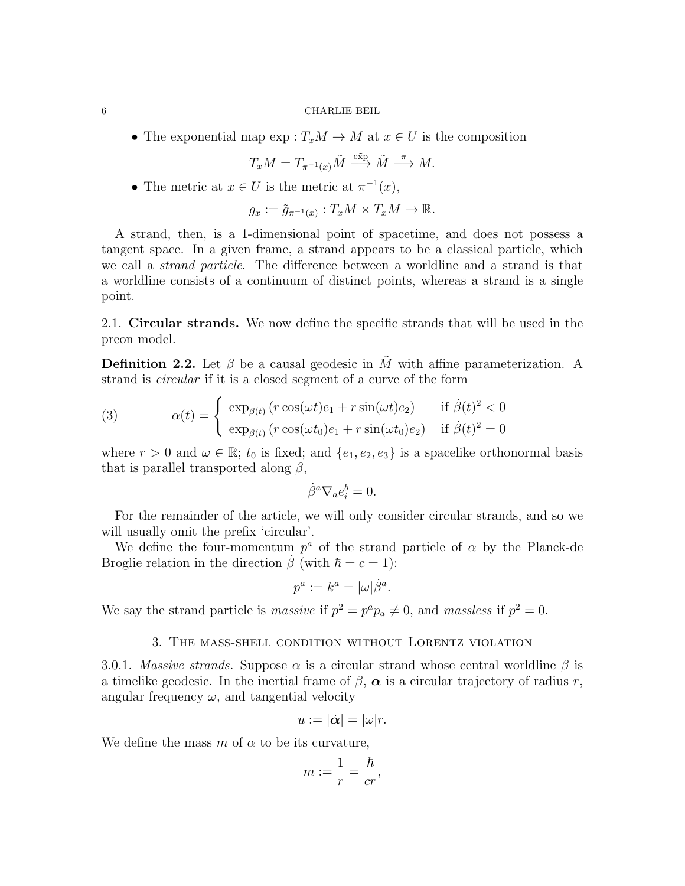• The exponential map  $\exp: T_xM \to M$  at  $x \in U$  is the composition

$$
T_xM=T_{\pi^{-1}(x)}\tilde{M}\stackrel{\text{e\tilde{x}_p}}{\longrightarrow}\tilde{M}\stackrel{\pi}{\longrightarrow}M.
$$

• The metric at  $x \in U$  is the metric at  $\pi^{-1}(x)$ ,

$$
g_x := \tilde{g}_{\pi^{-1}(x)} : T_x M \times T_x M \to \mathbb{R}.
$$

A strand, then, is a 1-dimensional point of spacetime, and does not possess a tangent space. In a given frame, a strand appears to be a classical particle, which we call a strand particle. The difference between a worldline and a strand is that a worldline consists of a continuum of distinct points, whereas a strand is a single point.

2.1. Circular strands. We now define the specific strands that will be used in the preon model.

**Definition 2.2.** Let  $\beta$  be a causal geodesic in  $\tilde{M}$  with affine parameterization. A strand is circular if it is a closed segment of a curve of the form

<span id="page-5-1"></span>(3) 
$$
\alpha(t) = \begin{cases} \exp_{\beta(t)}(r\cos(\omega t)e_1 + r\sin(\omega t)e_2) & \text{if } \dot{\beta}(t)^2 < 0\\ \exp_{\beta(t)}(r\cos(\omega t_0)e_1 + r\sin(\omega t_0)e_2) & \text{if } \dot{\beta}(t)^2 = 0 \end{cases}
$$

where  $r > 0$  and  $\omega \in \mathbb{R}$ ;  $t_0$  is fixed; and  $\{e_1, e_2, e_3\}$  is a spacelike orthonormal basis that is parallel transported along  $\beta$ ,

$$
\dot{\beta}^{a}\nabla_{a}e_{i}^{b}=0.
$$

For the remainder of the article, we will only consider circular strands, and so we will usually omit the prefix 'circular'.

We define the four-momentum  $p^a$  of the strand particle of  $\alpha$  by the Planck-de Broglie relation in the direction  $\beta$  (with  $\hbar = c = 1$ ):

$$
p^a := k^a = |\omega| \dot{\beta}^a.
$$

We say the strand particle is *massive* if  $p^2 = p^a p_a \neq 0$ , and *massless* if  $p^2 = 0$ .

### 3. The mass-shell condition without Lorentz violation

<span id="page-5-0"></span>3.0.1. Massive strands. Suppose  $\alpha$  is a circular strand whose central worldline  $\beta$  is a timelike geodesic. In the inertial frame of  $\beta$ ,  $\alpha$  is a circular trajectory of radius r, angular frequency  $\omega$ , and tangential velocity

$$
u:=|\dot{\boldsymbol{\alpha}}|=|\omega|r.
$$

We define the mass m of  $\alpha$  to be its curvature,

$$
m:=\frac{1}{r}=\frac{\hbar}{cr},
$$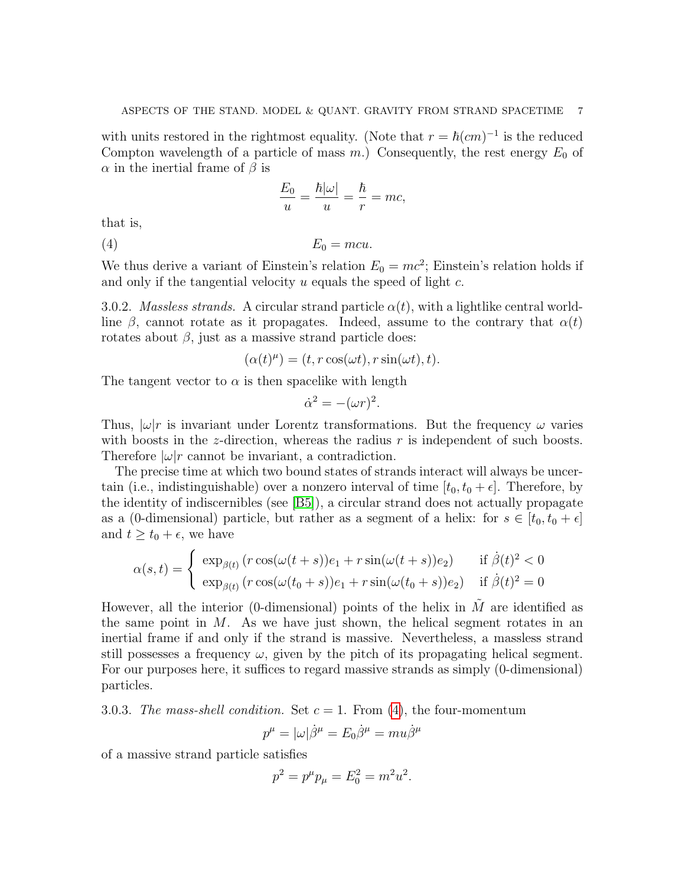with units restored in the rightmost equality. (Note that  $r = \hbar (cm)^{-1}$  is the reduced Compton wavelength of a particle of mass  $m$ .) Consequently, the rest energy  $E_0$  of  $\alpha$  in the inertial frame of  $\beta$  is

<span id="page-6-0"></span>
$$
\frac{E_0}{u} = \frac{\hbar |\omega|}{u} = \frac{\hbar}{r} = mc,
$$

that is,

(4)  $E_0 = mcu$ .

We thus derive a variant of Einstein's relation  $E_0 = mc^2$ ; Einstein's relation holds if and only if the tangential velocity u equals the speed of light c.

3.0.2. Massless strands. A circular strand particle  $\alpha(t)$ , with a lightlike central worldline  $\beta$ , cannot rotate as it propagates. Indeed, assume to the contrary that  $\alpha(t)$ rotates about  $\beta$ , just as a massive strand particle does:

$$
(\alpha(t)^{\mu}) = (t, r \cos(\omega t), r \sin(\omega t), t).
$$

The tangent vector to  $\alpha$  is then spacelike with length

$$
\dot{\alpha}^2 = -(\omega r)^2.
$$

Thus,  $|\omega|r$  is invariant under Lorentz transformations. But the frequency  $\omega$  varies with boosts in the *z*-direction, whereas the radius  $r$  is independent of such boosts. Therefore  $|\omega|r$  cannot be invariant, a contradiction.

The precise time at which two bound states of strands interact will always be uncertain (i.e., indistinguishable) over a nonzero interval of time  $[t_0, t_0 + \epsilon]$ . Therefore, by the identity of indiscernibles (see [\[B5\]](#page-38-0)), a circular strand does not actually propagate as a (0-dimensional) particle, but rather as a segment of a helix: for  $s \in [t_0, t_0 + \epsilon]$ and  $t \geq t_0 + \epsilon$ , we have

$$
\alpha(s,t) = \begin{cases} \exp_{\beta(t)}(r\cos(\omega(t+s))e_1 + r\sin(\omega(t+s))e_2) & \text{if } \dot{\beta}(t)^2 < 0\\ \exp_{\beta(t)}(r\cos(\omega(t_0+s))e_1 + r\sin(\omega(t_0+s))e_2) & \text{if } \dot{\beta}(t)^2 = 0 \end{cases}
$$

However, all the interior (0-dimensional) points of the helix in  $\tilde{M}$  are identified as the same point in  $M$ . As we have just shown, the helical segment rotates in an inertial frame if and only if the strand is massive. Nevertheless, a massless strand still possesses a frequency  $\omega$ , given by the pitch of its propagating helical segment. For our purposes here, it suffices to regard massive strands as simply (0-dimensional) particles.

3.0.3. The mass-shell condition. Set  $c = 1$ . From [\(4\)](#page-6-0), the four-momentum

$$
p^{\mu} = |\omega| \dot{\beta}^{\mu} = E_0 \dot{\beta}^{\mu} = m u \dot{\beta}^{\mu}
$$

of a massive strand particle satisfies

$$
p^2 = p^{\mu} p_{\mu} = E_0^2 = m^2 u^2.
$$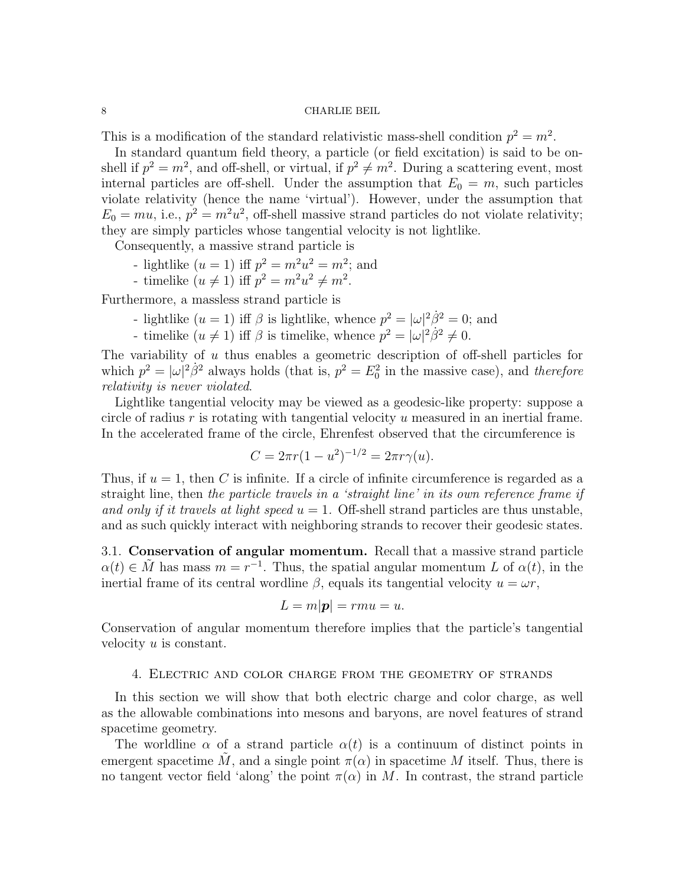This is a modification of the standard relativistic mass-shell condition  $p^2 = m^2$ .

In standard quantum field theory, a particle (or field excitation) is said to be onshell if  $p^2 = m^2$ , and off-shell, or virtual, if  $p^2 \neq m^2$ . During a scattering event, most internal particles are off-shell. Under the assumption that  $E_0 = m$ , such particles violate relativity (hence the name 'virtual'). However, under the assumption that  $E_0 = mu$ , i.e.,  $p^2 = m^2 u^2$ , off-shell massive strand particles do not violate relativity; they are simply particles whose tangential velocity is not lightlike.

Consequently, a massive strand particle is

- lightlike  $(u = 1)$  iff  $p^2 = m^2u^2 = m^2$ ; and
- timelike  $(u \neq 1)$  iff  $p^2 = m^2u^2 \neq m^2$ .

Furthermore, a massless strand particle is

- lightlike  $(u = 1)$  iff  $\beta$  is lightlike, whence  $p^2 = |\omega|^2 \dot{\beta}^2 = 0$ ; and
- timelike  $(u \neq 1)$  iff  $\beta$  is timelike, whence  $p^2 = |\omega|^2 \beta^2 \neq 0$ .

The variability of u thus enables a geometric description of off-shell particles for which  $p^2 = |\omega|^2 \dot{\beta}^2$  always holds (that is,  $p^2 = E_0^2$  in the massive case), and therefore relativity is never violated.

Lightlike tangential velocity may be viewed as a geodesic-like property: suppose a circle of radius  $r$  is rotating with tangential velocity  $u$  measured in an inertial frame. In the accelerated frame of the circle, Ehrenfest observed that the circumference is

$$
C = 2\pi r (1 - u^2)^{-1/2} = 2\pi r \gamma(u).
$$

Thus, if  $u = 1$ , then C is infinite. If a circle of infinite circumference is regarded as a straight line, then the particle travels in a 'straight line' in its own reference frame if and only if it travels at light speed  $u = 1$ . Off-shell strand particles are thus unstable, and as such quickly interact with neighboring strands to recover their geodesic states.

3.1. Conservation of angular momentum. Recall that a massive strand particle  $\alpha(t) \in \tilde{M}$  has mass  $m = r^{-1}$ . Thus, the spatial angular momentum L of  $\alpha(t)$ , in the inertial frame of its central wordline  $\beta$ , equals its tangential velocity  $u = \omega r$ ,

$$
L = m|\mathbf{p}| = rmu = u.
$$

Conservation of angular momentum therefore implies that the particle's tangential velocity u is constant.

### 4. Electric and color charge from the geometry of strands

<span id="page-7-0"></span>In this section we will show that both electric charge and color charge, as well as the allowable combinations into mesons and baryons, are novel features of strand spacetime geometry.

The worldline  $\alpha$  of a strand particle  $\alpha(t)$  is a continuum of distinct points in emergent spacetime  $\tilde{M}$ , and a single point  $\pi(\alpha)$  in spacetime M itself. Thus, there is no tangent vector field 'along' the point  $\pi(\alpha)$  in M. In contrast, the strand particle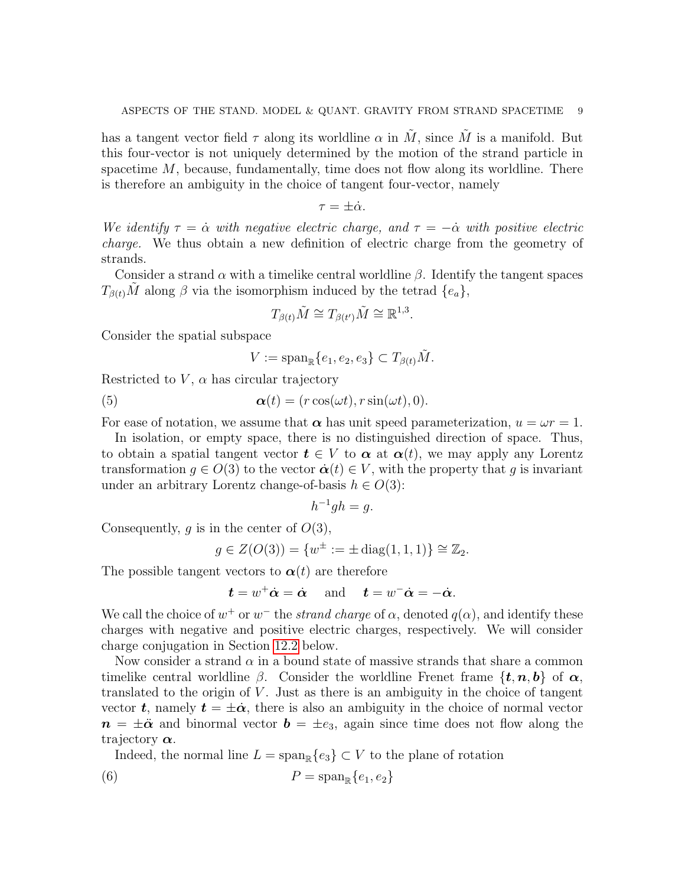has a tangent vector field  $\tau$  along its worldline  $\alpha$  in M, since M is a manifold. But this four-vector is not uniquely determined by the motion of the strand particle in spacetime  $M$ , because, fundamentally, time does not flow along its worldline. There is therefore an ambiguity in the choice of tangent four-vector, namely

$$
\tau=\pm\dot{\alpha}.
$$

We identify  $\tau = \dot{\alpha}$  with negative electric charge, and  $\tau = -\dot{\alpha}$  with positive electric charge. We thus obtain a new definition of electric charge from the geometry of strands.

Consider a strand  $\alpha$  with a timelike central worldline  $\beta$ . Identify the tangent spaces  $T_{\beta(t)}\tilde{M}$  along  $\beta$  via the isomorphism induced by the tetrad  $\{e_a\}$ ,

$$
T_{\beta(t)}\tilde{M} \cong T_{\beta(t')}\tilde{M} \cong \mathbb{R}^{1,3}.
$$

Consider the spatial subspace

<span id="page-8-0"></span>
$$
V := \operatorname{span}_{\mathbb{R}}\{e_1, e_2, e_3\} \subset T_{\beta(t)}\tilde{M}.
$$

Restricted to  $V$ ,  $\alpha$  has circular trajectory

(5) 
$$
\boldsymbol{\alpha}(t) = (r \cos(\omega t), r \sin(\omega t), 0).
$$

For ease of notation, we assume that  $\alpha$  has unit speed parameterization,  $u = \omega r = 1$ .

In isolation, or empty space, there is no distinguished direction of space. Thus, to obtain a spatial tangent vector  $t \in V$  to  $\alpha$  at  $\alpha(t)$ , we may apply any Lorentz transformation  $q \in O(3)$  to the vector  $\dot{\boldsymbol{\alpha}}(t) \in V$ , with the property that q is invariant under an arbitrary Lorentz change-of-basis  $h \in O(3)$ :

$$
h^{-1}gh = g.
$$

Consequently,  $g$  is in the center of  $O(3)$ ,

$$
g \in Z(O(3)) = \{w^{\pm} := \pm \operatorname{diag}(1,1,1)\} \cong \mathbb{Z}_2.
$$

The possible tangent vectors to  $\alpha(t)$  are therefore

$$
t = w^+ \dot{\alpha} = \dot{\alpha}
$$
 and  $t = w^- \dot{\alpha} = -\dot{\alpha}$ .

We call the choice of  $w^+$  or  $w^-$  the *strand charge* of  $\alpha$ , denoted  $q(\alpha)$ , and identify these charges with negative and positive electric charges, respectively. We will consider charge conjugation in Section [12.2](#page-31-1) below.

Now consider a strand  $\alpha$  in a bound state of massive strands that share a common timelike central worldline  $\beta$ . Consider the worldline Frenet frame  $\{t, n, b\}$  of  $\alpha$ , translated to the origin of  $V$ . Just as there is an ambiguity in the choice of tangent vector t, namely  $t = \pm \dot{\alpha}$ , there is also an ambiguity in the choice of normal vector  $n = \pm \ddot{\alpha}$  and binormal vector  $\boldsymbol{b} = \pm e_3$ , again since time does not flow along the trajectory  $\alpha$ .

<span id="page-8-1"></span>Indeed, the normal line  $L = \text{span}_{\mathbb{R}}\{e_3\} \subset V$  to the plane of rotation

$$
(6) \t\t P = \text{span}_{\mathbb{R}}\{e_1, e_2\}
$$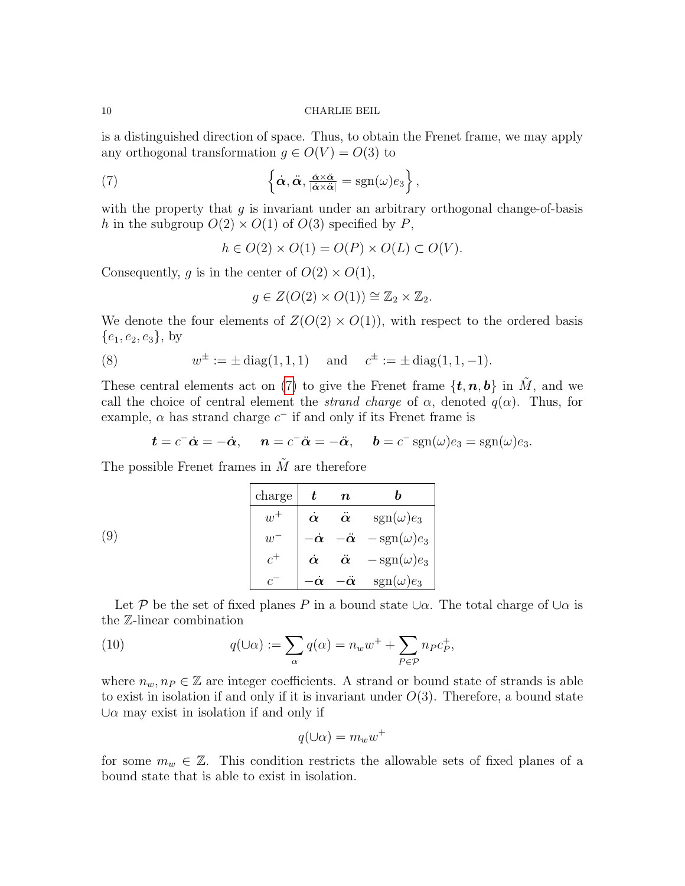is a distinguished direction of space. Thus, to obtain the Frenet frame, we may apply any orthogonal transformation  $g \in O(V) = O(3)$  to

(7) 
$$
\left\{\dot{\boldsymbol{\alpha}},\ddot{\boldsymbol{\alpha}},\frac{\dot{\boldsymbol{\alpha}}\times\ddot{\boldsymbol{\alpha}}}{|\dot{\boldsymbol{\alpha}}\times\ddot{\boldsymbol{\alpha}}|}=\text{sgn}(\omega)e_3\right\},
$$

with the property that  $g$  is invariant under an arbitrary orthogonal change-of-basis h in the subgroup  $O(2) \times O(1)$  of  $O(3)$  specified by P,

<span id="page-9-0"></span>
$$
h \in O(2) \times O(1) = O(P) \times O(L) \subset O(V).
$$

Consequently, g is in the center of  $O(2) \times O(1)$ ,

<span id="page-9-2"></span>
$$
g \in Z(O(2) \times O(1)) \cong \mathbb{Z}_2 \times \mathbb{Z}_2.
$$

We denote the four elements of  $Z(O(2) \times O(1))$ , with respect to the ordered basis  ${e_1, e_2, e_3}$ , by

(8) 
$$
w^{\pm} := \pm \operatorname{diag}(1, 1, 1) \quad \text{and} \quad c^{\pm} := \pm \operatorname{diag}(1, 1, -1).
$$

These central elements act on [\(7\)](#page-9-0) to give the Frenet frame  $\{\boldsymbol{t}, \boldsymbol{n}, \boldsymbol{b}\}\$ in  $\tilde{M}$ , and we call the choice of central element the *strand charge* of  $\alpha$ , denoted  $q(\alpha)$ . Thus, for example,  $\alpha$  has strand charge  $c^-$  if and only if its Frenet frame is

<span id="page-9-1"></span>
$$
\boldsymbol{t} = c^- \dot{\boldsymbol{\alpha}} = -\dot{\boldsymbol{\alpha}}, \quad \boldsymbol{n} = c^- \ddot{\boldsymbol{\alpha}} = -\ddot{\boldsymbol{\alpha}}, \quad \boldsymbol{b} = c^- \operatorname{sgn}(\omega) e_3 = \operatorname{sgn}(\omega) e_3.
$$

The possible Frenet frames in  $\tilde{M}$  are therefore

|     | charge | $\boldsymbol{t}$ | $\boldsymbol{n}$ |                                                           |
|-----|--------|------------------|------------------|-----------------------------------------------------------|
|     |        |                  |                  | $\dot{\alpha}$ $\ddot{\alpha}$ $sgn(\omega)e_3$           |
| (9) | $w^-$  |                  |                  | $-\dot{\alpha}$ $-\ddot{\alpha}$ $-\text{sgn}(\omega)e_3$ |
|     |        |                  |                  | $\dot{\alpha}$ $\ddot{\alpha}$ $-\text{sgn}(\omega)e_3$   |
|     |        | $-\dot{\alpha}$  | $-\ddot{\alpha}$ | $sgn(\omega)e_3$                                          |

Let P be the set of fixed planes P in a bound state  $\cup \alpha$ . The total charge of  $\cup \alpha$  is the Z-linear combination

(10) 
$$
q(\cup \alpha) := \sum_{\alpha} q(\alpha) = n_w w^+ + \sum_{P \in \mathcal{P}} n_P c_P^+,
$$

where  $n_w, n_P \in \mathbb{Z}$  are integer coefficients. A strand or bound state of strands is able to exist in isolation if and only if it is invariant under  $O(3)$ . Therefore, a bound state  $\cup \alpha$  may exist in isolation if and only if

<span id="page-9-3"></span>
$$
q(\cup\alpha)=m_ww^+
$$

for some  $m_w \in \mathbb{Z}$ . This condition restricts the allowable sets of fixed planes of a bound state that is able to exist in isolation.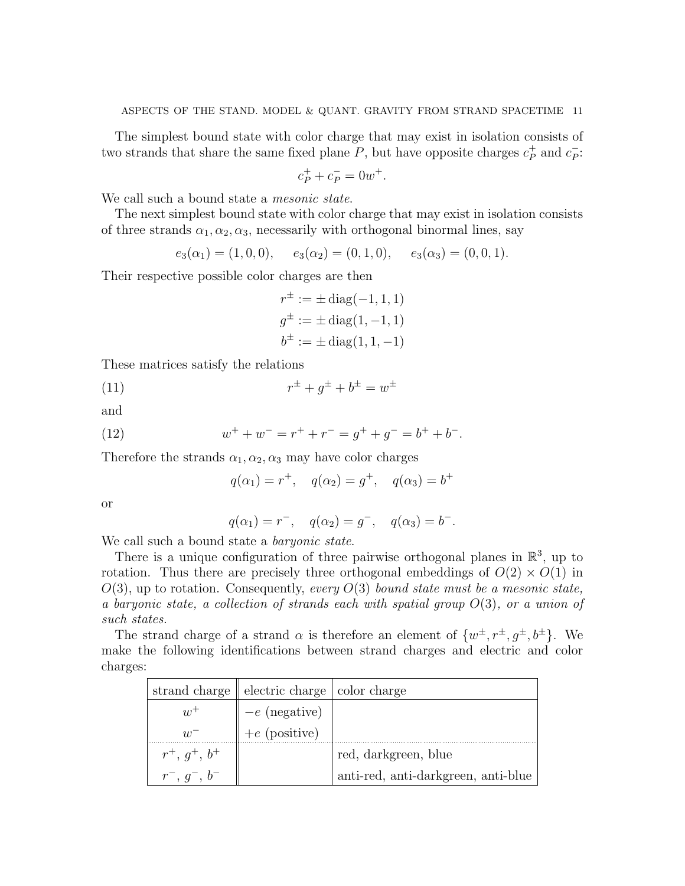The simplest bound state with color charge that may exist in isolation consists of two strands that share the same fixed plane  $P$ , but have opposite charges  $c_P^+$  $\frac{+}{P}$  and  $c_P^ \frac{1}{P}$ :

$$
c_P^+ + c_P^- = 0w^+.
$$

We call such a bound state a *mesonic state*.

The next simplest bound state with color charge that may exist in isolation consists of three strands  $\alpha_1, \alpha_2, \alpha_3$ , necessarily with orthogonal binormal lines, say

$$
e_3(\alpha_1) = (1,0,0), \quad e_3(\alpha_2) = (0,1,0), \quad e_3(\alpha_3) = (0,0,1).
$$

Their respective possible color charges are then

<span id="page-10-1"></span>
$$
r^{\pm} := \pm \operatorname{diag}(-1, 1, 1)
$$
  

$$
g^{\pm} := \pm \operatorname{diag}(1, -1, 1)
$$
  

$$
b^{\pm} := \pm \operatorname{diag}(1, 1, -1)
$$

These matrices satisfy the relations

(11) 
$$
r^{\pm} + g^{\pm} + b^{\pm} = w^{\pm}
$$

and

(12) 
$$
w^+ + w^- = r^+ + r^- = g^+ + g^- = b^+ + b^-.
$$

Therefore the strands  $\alpha_1, \alpha_2, \alpha_3$  may have color charges

<span id="page-10-0"></span>
$$
q(\alpha_1) = r^+, \quad q(\alpha_2) = g^+, \quad q(\alpha_3) = b^+
$$

or

$$
q(\alpha_1) = r^{-}, \quad q(\alpha_2) = g^{-}, \quad q(\alpha_3) = b^{-}.
$$

We call such a bound state a *baryonic state*.

There is a unique configuration of three pairwise orthogonal planes in  $\mathbb{R}^3$ , up to rotation. Thus there are precisely three orthogonal embeddings of  $O(2) \times O(1)$  in  $O(3)$ , up to rotation. Consequently, every  $O(3)$  bound state must be a mesonic state, a baryonic state, a collection of strands each with spatial group  $O(3)$ , or a union of such states.

The strand charge of a strand  $\alpha$  is therefore an element of  $\{w^{\pm}, r^{\pm}, g^{\pm}, b^{\pm}\}\$ . We make the following identifications between strand charges and electric and color charges:

|                       | strand charge $\parallel$ electric charge $\parallel$ color charge |                                     |
|-----------------------|--------------------------------------------------------------------|-------------------------------------|
| $w^+$                 |                                                                    |                                     |
| $\overline{w}$        | $-e$ (negative)<br>+e (positive)                                   |                                     |
| $r^+, q^+, b^+$       |                                                                    | red, darkgreen, blue                |
| $r^{-}, q^{-}, b^{-}$ |                                                                    | anti-red, anti-darkgreen, anti-blue |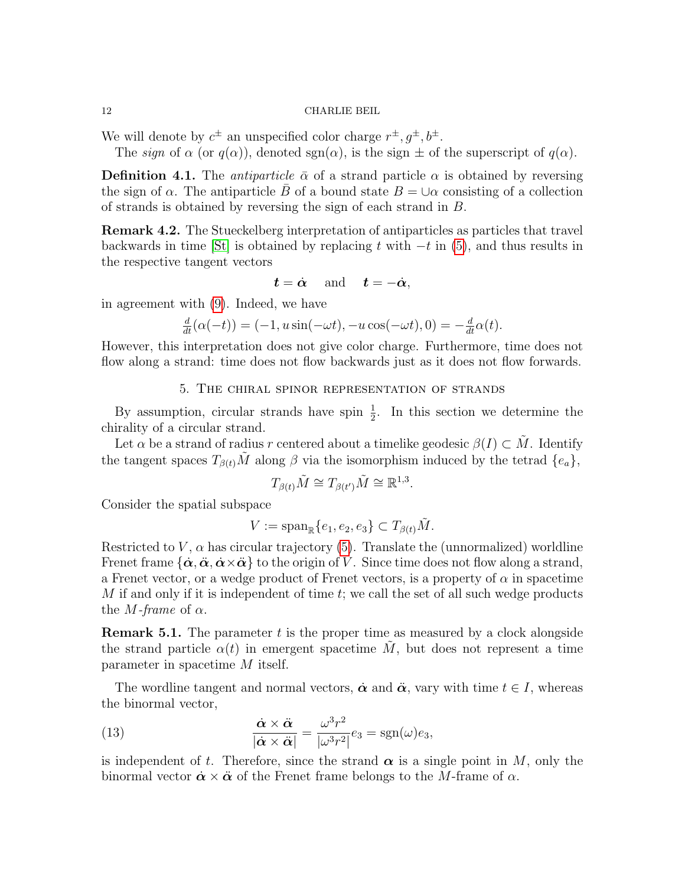We will denote by  $c^{\pm}$  an unspecified color charge  $r^{\pm}, g^{\pm}, b^{\pm}$ .

The sign of  $\alpha$  (or  $q(\alpha)$ ), denoted sgn( $\alpha$ ), is the sign  $\pm$  of the superscript of  $q(\alpha)$ .

<span id="page-11-2"></span>**Definition 4.1.** The *antiparticle*  $\bar{\alpha}$  of a strand particle  $\alpha$  is obtained by reversing the sign of  $\alpha$ . The antiparticle B of a bound state  $B = \bigcup \alpha$  consisting of a collection of strands is obtained by reversing the sign of each strand in B.

Remark 4.2. The Stueckelberg interpretation of antiparticles as particles that travel backwards in time [\[St\]](#page-38-11) is obtained by replacing t with  $-t$  in [\(5\)](#page-8-0), and thus results in the respective tangent vectors

$$
t = \dot{\alpha}
$$
 and  $t = -\dot{\alpha}$ ,

in agreement with [\(9\)](#page-9-1). Indeed, we have

$$
\frac{d}{dt}(\alpha(-t)) = (-1, u\sin(-\omega t), -u\cos(-\omega t), 0) = -\frac{d}{dt}\alpha(t).
$$

However, this interpretation does not give color charge. Furthermore, time does not flow along a strand: time does not flow backwards just as it does not flow forwards.

5. The chiral spinor representation of strands

<span id="page-11-0"></span>By assumption, circular strands have spin  $\frac{1}{2}$ . In this section we determine the chirality of a circular strand.

Let  $\alpha$  be a strand of radius r centered about a timelike geodesic  $\beta(I) \subset M$ . Identify the tangent spaces  $T_{\beta(t)}\tilde{M}$  along  $\beta$  via the isomorphism induced by the tetrad  $\{e_a\}$ ,

$$
T_{\beta(t)}\tilde{M}\cong T_{\beta(t')}\tilde{M}\cong\mathbb{R}^{1,3}.
$$

Consider the spatial subspace

$$
V := \text{span}_{\mathbb{R}}\{e_1, e_2, e_3\} \subset T_{\beta(t)}\tilde{M}.
$$

Restricted to  $V$ ,  $\alpha$  has circular trajectory [\(5\)](#page-8-0). Translate the (unnormalized) worldline Frenet frame  $\{\dot{\alpha}, \ddot{\alpha}, \dot{\alpha} \times \ddot{\alpha}\}$  to the origin of V. Since time does not flow along a strand, a Frenet vector, or a wedge product of Frenet vectors, is a property of  $\alpha$  in spacetime  $M$  if and only if it is independent of time  $t$ ; we call the set of all such wedge products the *M*-frame of  $\alpha$ .

**Remark 5.1.** The parameter  $t$  is the proper time as measured by a clock alongside the strand particle  $\alpha(t)$  in emergent spacetime  $\tilde{M}$ , but does not represent a time parameter in spacetime M itself.

The wordline tangent and normal vectors,  $\dot{\alpha}$  and  $\ddot{\alpha}$ , vary with time  $t \in I$ , whereas the binormal vector,

<span id="page-11-1"></span>(13) 
$$
\frac{\dot{\alpha} \times \ddot{\alpha}}{|\dot{\alpha} \times \ddot{\alpha}|} = \frac{\omega^3 r^2}{|\omega^3 r^2|} e_3 = \text{sgn}(\omega) e_3,
$$

is independent of t. Therefore, since the strand  $\alpha$  is a single point in M, only the binormal vector  $\dot{\boldsymbol{\alpha}} \times \ddot{\boldsymbol{\alpha}}$  of the Frenet frame belongs to the M-frame of  $\alpha$ .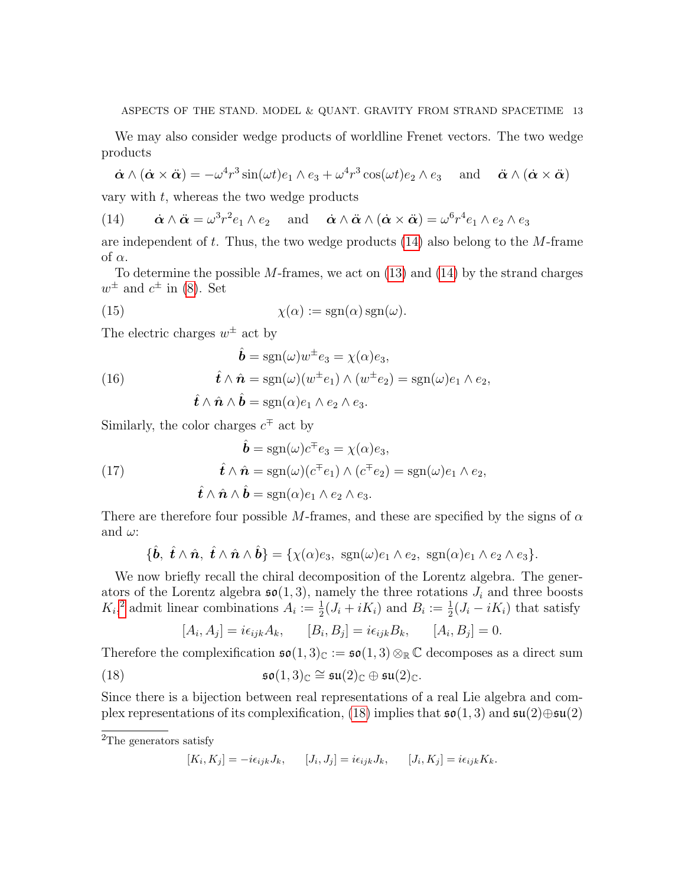We may also consider wedge products of worldline Frenet vectors. The two wedge products

$$
\dot{\boldsymbol{\alpha}} \wedge (\dot{\boldsymbol{\alpha}} \times \ddot{\boldsymbol{\alpha}}) = -\omega^4 r^3 \sin(\omega t) e_1 \wedge e_3 + \omega^4 r^3 \cos(\omega t) e_2 \wedge e_3 \quad \text{and} \quad \ddot{\boldsymbol{\alpha}} \wedge (\dot{\boldsymbol{\alpha}} \times \ddot{\boldsymbol{\alpha}})
$$

vary with  $t$ , whereas the two wedge products

<span id="page-12-0"></span>(14) 
$$
\dot{\boldsymbol{\alpha}} \wedge \ddot{\boldsymbol{\alpha}} = \omega^3 r^2 e_1 \wedge e_2
$$
 and  $\dot{\boldsymbol{\alpha}} \wedge \ddot{\boldsymbol{\alpha}} \wedge (\dot{\boldsymbol{\alpha}} \times \ddot{\boldsymbol{\alpha}}) = \omega^6 r^4 e_1 \wedge e_2 \wedge e_3$ 

are independent of t. Thus, the two wedge products  $(14)$  also belong to the M-frame of  $\alpha$ .

To determine the possible  $M$ -frames, we act on  $(13)$  and  $(14)$  by the strand charges  $w^{\pm}$  and  $c^{\pm}$  in [\(8\)](#page-9-2). Set

<span id="page-12-3"></span>(15) 
$$
\chi(\alpha) := \text{sgn}(\alpha) \,\text{sgn}(\omega).
$$

The electric charges  $w^{\pm}$  act by

<span id="page-12-4"></span>(16) 
$$
\hat{\boldsymbol{b}} = \text{sgn}(\omega)w^{\pm}e_3 = \chi(\alpha)e_3,
$$

$$
\hat{\boldsymbol{t}} \wedge \hat{\boldsymbol{n}} = \text{sgn}(\omega)(w^{\pm}e_1) \wedge (w^{\pm}e_2) = \text{sgn}(\omega)e_1 \wedge e_2,
$$

$$
\hat{\boldsymbol{t}} \wedge \hat{\boldsymbol{n}} \wedge \hat{\boldsymbol{b}} = \text{sgn}(\alpha)e_1 \wedge e_2 \wedge e_3.
$$

Similarly, the color charges  $c^{\mp}$  act by

<span id="page-12-5"></span>(17) 
$$
\hat{\boldsymbol{b}} = \text{sgn}(\omega)c^{\dagger}e_3 = \chi(\alpha)e_3,
$$

$$
\hat{\boldsymbol{t}} \wedge \hat{\boldsymbol{n}} = \text{sgn}(\omega)(c^{\dagger}e_1) \wedge (c^{\dagger}e_2) = \text{sgn}(\omega)e_1 \wedge e_2,
$$

$$
\hat{\boldsymbol{t}} \wedge \hat{\boldsymbol{n}} \wedge \hat{\boldsymbol{b}} = \text{sgn}(\alpha)e_1 \wedge e_2 \wedge e_3.
$$

There are therefore four possible M-frames, and these are specified by the signs of  $\alpha$ and  $\omega$ :

$$
\{\hat{\boldsymbol{b}}, \ \hat{\boldsymbol{t}} \wedge \hat{\boldsymbol{n}}, \ \hat{\boldsymbol{t}} \wedge \hat{\boldsymbol{n}} \wedge \hat{\boldsymbol{b}}\} = \{\chi(\alpha)e_3, \ \operatorname{sgn}(\omega)e_1 \wedge e_2, \ \operatorname{sgn}(\alpha)e_1 \wedge e_2 \wedge e_3\}.
$$

We now briefly recall the chiral decomposition of the Lorentz algebra. The generators of the Lorentz algebra  $\mathfrak{so}(1,3)$ , namely the three rotations  $J_i$  and three boosts  $K_i$ <sup>[2](#page-12-1)</sup> admit linear combinations  $A_i := \frac{1}{2}(J_i + iK_i)$  and  $B_i := \frac{1}{2}(J_i - iK_i)$  that satisfy

<span id="page-12-2"></span>
$$
[A_i, A_j] = i\epsilon_{ijk}A_k, \qquad [B_i, B_j] = i\epsilon_{ijk}B_k, \qquad [A_i, B_j] = 0.
$$

Therefore the complexification  $\mathfrak{so}(1,3)_{\mathbb{C}} := \mathfrak{so}(1,3) \otimes_{\mathbb{R}} \mathbb{C}$  decomposes as a direct sum (18)  $\mathfrak{so}(1,3)_{\mathbb{C}} \cong \mathfrak{su}(2)_{\mathbb{C}} \oplus \mathfrak{su}(2)_{\mathbb{C}}.$ 

Since there is a bijection between real representations of a real Lie algebra and com-plex representations of its complexification, [\(18\)](#page-12-2) implies that  $\mathfrak{so}(1,3)$  and  $\mathfrak{su}(2)\oplus \mathfrak{su}(2)$ 

$$
[K_i, K_j] = -i\epsilon_{ijk}J_k, \qquad [J_i, J_j] = i\epsilon_{ijk}J_k, \qquad [J_i, K_j] = i\epsilon_{ijk}K_k.
$$

<span id="page-12-1"></span><sup>&</sup>lt;sup>2</sup>The generators satisfy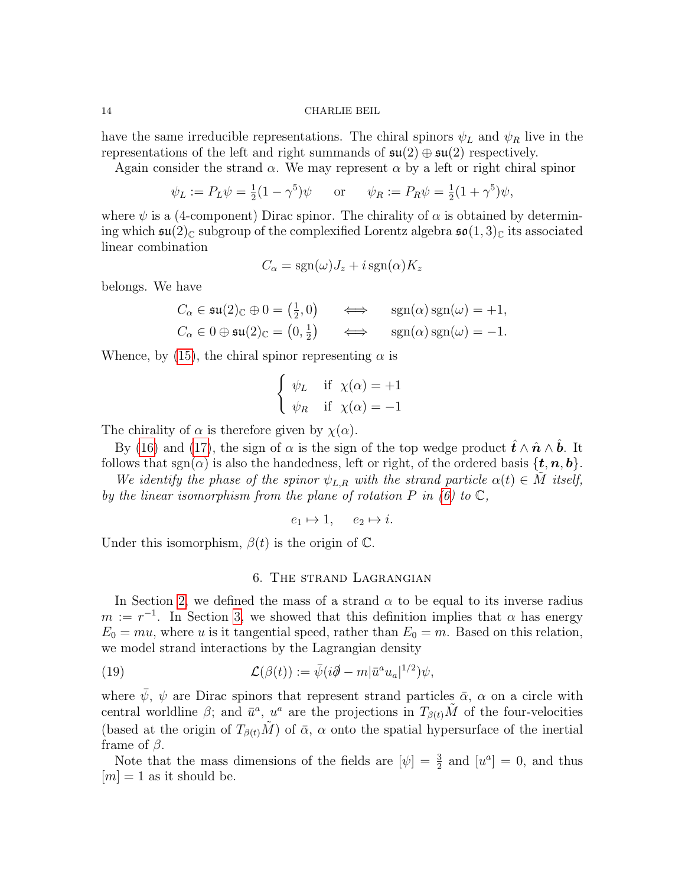have the same irreducible representations. The chiral spinors  $\psi_L$  and  $\psi_R$  live in the representations of the left and right summands of  $\mathfrak{su}(2) \oplus \mathfrak{su}(2)$  respectively.

Again consider the strand  $\alpha$ . We may represent  $\alpha$  by a left or right chiral spinor

$$
\psi_L := P_L \psi = \frac{1}{2} (1 - \gamma^5) \psi
$$
 or  $\psi_R := P_R \psi = \frac{1}{2} (1 + \gamma^5) \psi$ ,

where  $\psi$  is a (4-component) Dirac spinor. The chirality of  $\alpha$  is obtained by determining which  $\mathfrak{su}(2)_{\mathbb{C}}$  subgroup of the complexified Lorentz algebra  $\mathfrak{so}(1,3)_{\mathbb{C}}$  its associated linear combination

$$
C_{\alpha} = \text{sgn}(\omega)J_z + i \,\text{sgn}(\alpha)K_z
$$

belongs. We have

$$
C_{\alpha} \in \mathfrak{su}(2)_{\mathbb{C}} \oplus 0 = \left(\frac{1}{2}, 0\right) \iff \operatorname{sgn}(\alpha) \operatorname{sgn}(\omega) = +1,
$$
  

$$
C_{\alpha} \in 0 \oplus \mathfrak{su}(2)_{\mathbb{C}} = \left(0, \frac{1}{2}\right) \iff \operatorname{sgn}(\alpha) \operatorname{sgn}(\omega) = -1.
$$

Whence, by [\(15\)](#page-12-3), the chiral spinor representing  $\alpha$  is

$$
\begin{cases} \psi_L & \text{if } \chi(\alpha) = +1 \\ \psi_R & \text{if } \chi(\alpha) = -1 \end{cases}
$$

The chirality of  $\alpha$  is therefore given by  $\chi(\alpha)$ .

By [\(16\)](#page-12-4) and [\(17\)](#page-12-5), the sign of  $\alpha$  is the sign of the top wedge product  $\hat{\mathbf{t}} \wedge \hat{\mathbf{n}} \wedge \hat{\mathbf{b}}$ . It follows that  $sgn(\alpha)$  is also the handedness, left or right, of the ordered basis  $\{t, n, b\}$ .

We identify the phase of the spinor  $\psi_{L,R}$  with the strand particle  $\alpha(t) \in M$  itself, by the linear isomorphism from the plane of rotation  $P$  in [\(6\)](#page-8-1) to  $\mathbb{C}$ ,

$$
e_1 \mapsto 1, \quad e_2 \mapsto i.
$$

Under this isomorphism,  $\beta(t)$  is the origin of  $\mathbb{C}$ .

# <span id="page-13-1"></span>6. The strand Lagrangian

<span id="page-13-0"></span>In Section [2,](#page-2-0) we defined the mass of a strand  $\alpha$  to be equal to its inverse radius  $m := r^{-1}$ . In Section [3,](#page-5-0) we showed that this definition implies that  $\alpha$  has energy  $E_0 = mu$ , where u is it tangential speed, rather than  $E_0 = m$ . Based on this relation, we model strand interactions by the Lagrangian density

(19) 
$$
\mathcal{L}(\beta(t)) := \bar{\psi}(i\partial \!\!\!/- m|\bar{u}^a u_a|^{1/2})\psi,
$$

where  $\bar{\psi}$ ,  $\psi$  are Dirac spinors that represent strand particles  $\bar{\alpha}$ ,  $\alpha$  on a circle with central worldline  $\beta$ ; and  $\bar{u}^a$ ,  $u^a$  are the projections in  $T_{\beta(t)}\tilde{M}$  of the four-velocities (based at the origin of  $T_{\beta(t)}\tilde{M}$ ) of  $\bar{\alpha}$ ,  $\alpha$  onto the spatial hypersurface of the inertial frame of  $\beta$ .

Note that the mass dimensions of the fields are  $[\psi] = \frac{3}{2}$  and  $[u^a] = 0$ , and thus  $[m] = 1$  as it should be.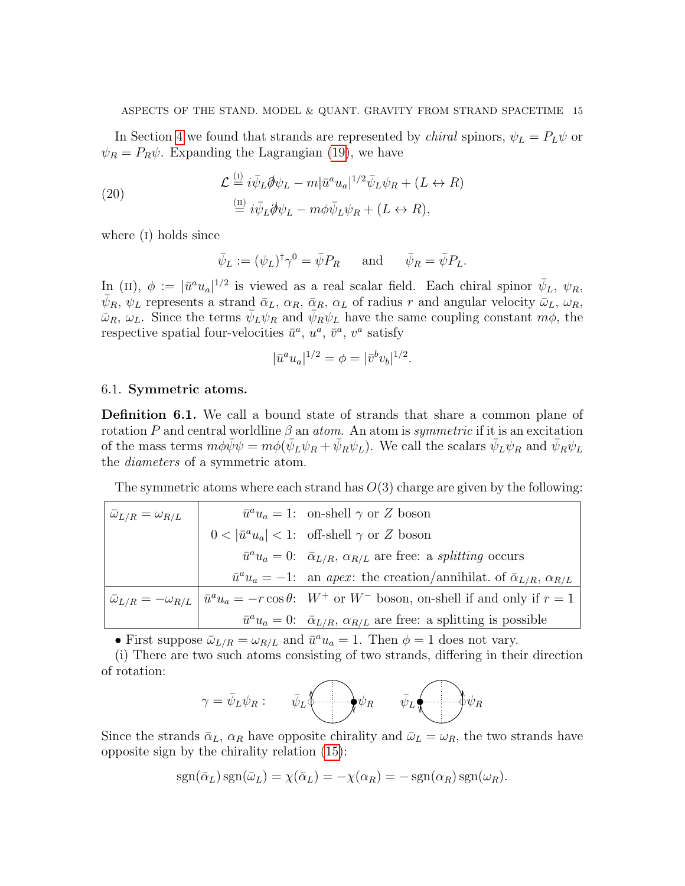In Section [4](#page-7-0) we found that strands are represented by *chiral* spinors,  $\psi_L = P_L \psi$  or  $\psi_R = P_R \psi$ . Expanding the Lagrangian [\(19\)](#page-13-1), we have

<span id="page-14-1"></span>(20) 
$$
\mathcal{L} \stackrel{\text{(i)}}{=} i\bar{\psi}_L \partial \psi_L - m |\bar{u}^a u_a|^{1/2} \bar{\psi}_L \psi_R + (L \leftrightarrow R)
$$

$$
\stackrel{\text{(ii)}}{=} i\bar{\psi}_L \partial \psi_L - m \phi \bar{\psi}_L \psi_R + (L \leftrightarrow R),
$$

where (I) holds since

$$
\bar{\psi}_L := (\psi_L)^{\dagger} \gamma^0 = \bar{\psi} P_R
$$
 and  $\bar{\psi}_R = \bar{\psi} P_L$ .

In (II),  $\phi := |\bar{u}^a u_a|^{1/2}$  is viewed as a real scalar field. Each chiral spinor  $\bar{\psi}_L$ ,  $\psi_R$ ,  $\bar{\psi}_R$ ,  $\psi_L$  represents a strand  $\bar{\alpha}_L$ ,  $\alpha_R$ ,  $\bar{\alpha}_R$ ,  $\alpha_L$  of radius r and angular velocity  $\bar{\omega}_L$ ,  $\omega_R$ ,  $\bar{\omega}_R$ ,  $\omega_L$ . Since the terms  $\bar{\psi}_L \psi_R$  and  $\bar{\psi}_R \psi_L$  have the same coupling constant  $m\phi$ , the respective spatial four-velocities  $\bar{u}^a$ ,  $u^a$ ,  $\bar{v}^a$ ,  $v^a$  satisfy

$$
|\bar{u}^a u_a|^{1/2} = \phi = |\bar{v}^b v_b|^{1/2}.
$$

### <span id="page-14-0"></span>6.1. Symmetric atoms.

Definition 6.1. We call a bound state of strands that share a common plane of rotation P and central worldline  $\beta$  an *atom*. An atom is *symmetric* if it is an excitation of the mass terms  $m\phi\bar{\psi}\psi = m\phi(\bar{\psi}_L\psi_R + \bar{\psi}_R\psi_L)$ . We call the scalars  $\bar{\psi}_L\psi_R$  and  $\bar{\psi}_R\psi_L$ the diameters of a symmetric atom.

The symmetric atoms where each strand has  $O(3)$  charge are given by the following:

| $\bar{\omega}_{L/R} = \omega_{R/L}$ | $\bar{u}^a u_a = 1$ : on-shell $\gamma$ or Z boson                                                                                         |
|-------------------------------------|--------------------------------------------------------------------------------------------------------------------------------------------|
|                                     | $0 <  \bar{u}^a u_a  < 1$ : off-shell $\gamma$ or Z boson                                                                                  |
|                                     | $\bar{u}^a u_a = 0$ : $\bar{\alpha}_{L/R}, \alpha_{R/L}$ are free: a <i>splitting</i> occurs                                               |
|                                     | $\bar{u}^a u_a = -1$ : an apex: the creation/annihilat. of $\bar{\alpha}_{L/R}$ , $\alpha_{R/L}$                                           |
|                                     | $\bar{\omega}_{L/R} = -\omega_{R/L} \left[ \bar{u}^a u_a = -r \cos \theta \right]$ : $W^+$ or $W^-$ boson, on-shell if and only if $r = 1$ |
|                                     | $\bar{u}^a u_a = 0$ : $\bar{\alpha}_{L/R}, \alpha_{R/L}$ are free: a splitting is possible                                                 |

• First suppose  $\bar{\omega}_{L/R} = \omega_{R/L}$  and  $\bar{u}^a u_a = 1$ . Then  $\phi = 1$  does not vary.

(i) There are two such atoms consisting of two strands, differing in their direction of rotation:

$$
\gamma = \bar{\psi}_L \psi_R: \qquad \bar{\psi}_L \overbrace{\leftarrow{\psi}} \psi_R \qquad \bar{\psi}_L \overbrace{\leftarrow{\psi}} \psi_R
$$

Since the strands  $\bar{\alpha}_L$ ,  $\alpha_R$  have opposite chirality and  $\bar{\omega}_L = \omega_R$ , the two strands have opposite sign by the chirality relation [\(15\)](#page-12-3):

$$
sgn(\bar{\alpha}_L)sgn(\bar{\omega}_L) = \chi(\bar{\alpha}_L) = -\chi(\alpha_R) = -sgn(\alpha_R)sgn(\omega_R).
$$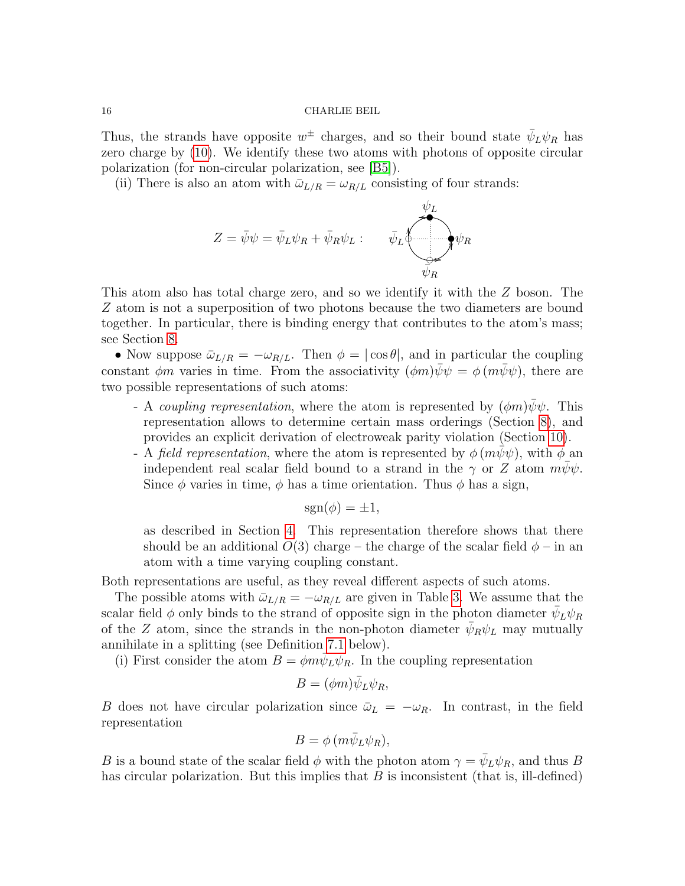Thus, the strands have opposite  $w^{\pm}$  charges, and so their bound state  $\bar{\psi}_L \psi_R$  has zero charge by [\(10\)](#page-9-3). We identify these two atoms with photons of opposite circular polarization (for non-circular polarization, see [\[B5\]](#page-38-0)).

(ii) There is also an atom with  $\bar{\omega}_{L/R} = \omega_{R/L}$  consisting of four strands:

$$
Z = \bar{\psi}\psi = \bar{\psi}_L\psi_R + \bar{\psi}_R\psi_L: \qquad \bar{\psi}_L \underbrace{\bar{\psi}_L}_{\bar{\psi}_R} \underbrace{\psi_L}_{\bar{\psi}_R}
$$

This atom also has total charge zero, and so we identify it with the Z boson. The Z atom is not a superposition of two photons because the two diameters are bound together. In particular, there is binding energy that contributes to the atom's mass; see Section [8.](#page-23-0)

• Now suppose  $\bar{\omega}_{L/R} = -\omega_{R/L}$ . Then  $\phi = |\cos \theta|$ , and in particular the coupling constant  $\phi m$  varies in time. From the associativity  $(\phi m)\psi \psi = \phi (m\psi \psi)$ , there are two possible representations of such atoms:

- A coupling representation, where the atom is represented by  $(\phi m)\bar{\psi}\psi$ . This representation allows to determine certain mass orderings (Section [8\)](#page-23-0), and provides an explicit derivation of electroweak parity violation (Section [10\)](#page-27-0).
- A field representation, where the atom is represented by  $\phi(m\psi\psi)$ , with  $\phi$  an independent real scalar field bound to a strand in the  $\gamma$  or Z atom  $m\psi\psi$ . Since  $\phi$  varies in time,  $\phi$  has a time orientation. Thus  $\phi$  has a sign,

$$
sgn(\phi) = \pm 1,
$$

as described in Section [4.](#page-7-0) This representation therefore shows that there should be an additional  $O(3)$  charge – the charge of the scalar field  $\phi$  – in an atom with a time varying coupling constant.

Both representations are useful, as they reveal different aspects of such atoms.

The possible atoms with  $\bar{\omega}_{L/R} = -\omega_{R/L}$  are given in Table [3.](#page-16-0) We assume that the scalar field  $\phi$  only binds to the strand of opposite sign in the photon diameter  $\bar{\psi}_L \psi_R$ of the Z atom, since the strands in the non-photon diameter  $\bar{\psi}_R \psi_L$  may mutually annihilate in a splitting (see Definition [7.1](#page-20-0) below).

(i) First consider the atom  $B = \phi m \bar{\psi}_L \psi_R$ . In the coupling representation

$$
B = (\phi m)\bar{\psi}_L \psi_R,
$$

B does not have circular polarization since  $\bar{\omega}_L = -\omega_R$ . In contrast, in the field representation

$$
B=\phi(m\bar{\psi}_L\psi_R),
$$

B is a bound state of the scalar field  $\phi$  with the photon atom  $\gamma = \bar{\psi}_L \psi_R$ , and thus B has circular polarization. But this implies that  $B$  is inconsistent (that is, ill-defined)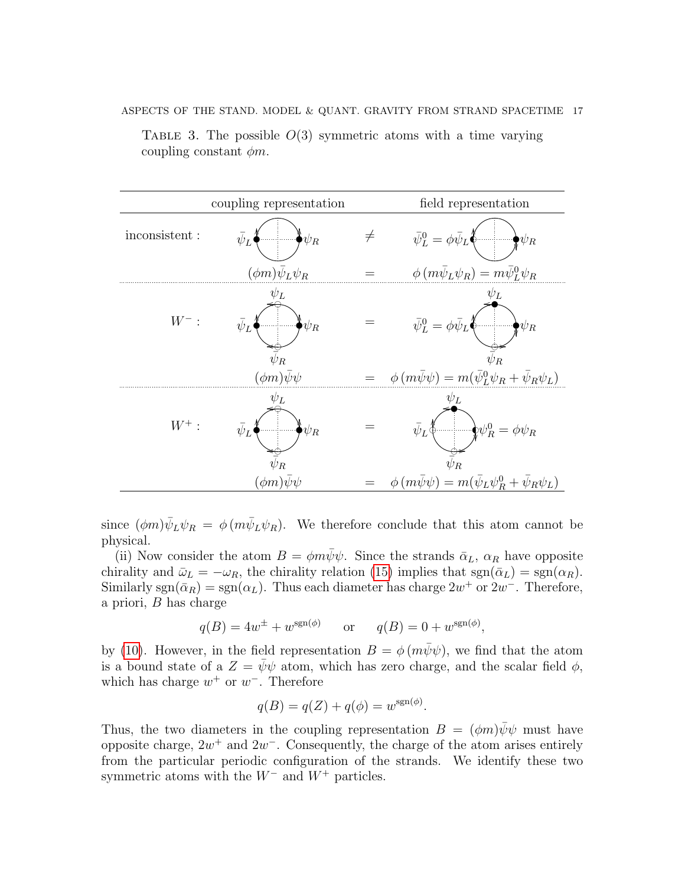coupling representation field representation inconsistent : OO 7 OO  $\bar{\psi}$  $L \bigl\{\begin{matrix} \begin{matrix} 0 \end{matrix} & \cdots & \begin{matrix} 0 \end{matrix} \end{matrix} \bigr| \psi_R$  $\neq \qquad \bar{\psi}^0_L=\phi\bar{\psi}_L$  ( OO 7 ľ  $\bar{\psi}_L^0$  $L^0 = \phi \bar{\psi}$  $\psi_R$  $(\phi m)\psi_L\psi_R$  $\phi \left( m \psi_L \psi_R \right)$  $_L\psi_R)=m\bar{\psi}^0_L\psi_R$  $W^-$ :  $\bar{\psi}_L \overset{\circ}{\blacklozenge}$ OO 7 OO  $\neq$  $\frac{1}{\bar{\psi}_R}$  $\bar{\psi}$  $L \bigl\{\begin{matrix} \begin{matrix} 0 \end{matrix} & \cdots & \begin{matrix} 0 \end{matrix} \end{matrix} \bigr| \psi_R$  $\psi_L$  $=\qquad\qquad\bar{\psi}^0_L=\phi\bar{\psi}_L\rlap{\Big(} \Phi$ OO 7 ľ  $\neq$  $\triangleq$  $\bar{\psi}_I^0$  $L^0 = \phi \bar{\psi}$  $L \big\{ \begin{array}{c} \begin{array}{c} \bullet \end{array} & \begin{array}{c} \bullet \end{array} & \begin{array}{c} \bullet \end{array} & \begin{array}{c} \bullet \end{array} & \begin{array}{c} \bullet \end{array} & \begin{array}{c} \bullet \end{array} & \begin{array}{c} \bullet \end{array} & \begin{array}{c} \bullet \end{array} & \begin{array}{c} \bullet \end{array} & \begin{array}{c} \bullet \end{array} & \begin{array}{c} \bullet \end{array} & \begin{array}{c} \bullet \end{array} & \begin{array}{c} \bullet \end{array} & \begin{array}{c} \bullet \end{array$  $\bar{\bar{\psi}}$ R  $\psi_L$  $(\phi m)\bar{\psi}\psi = \phi (m\bar{\psi}\psi)$  $\frac{0}{L}\psi_R+\bar{\psi}_R\psi_L)$  $W^+$ : OO 7 OO  $\neq$ ⇔ِ  $\bar{\psi}$  $\psi_R$  $\widetilde{\bar\psi}_R$  $v_I$  $= \bar{\psi}_L \Phi$ OO  $\ast$ ľ  $\neq$  $\triangleq$  $\bar{\psi}$  $L\Phi$   $\longrightarrow$   $\psi$ 0  $R^0_R = \phi \psi_R$  $\bar{\bar{\psi}}$ R  $\psi_L$  $(\phi m)\psi\psi = \phi (m\psi\psi)$  ${}_L\psi^0_R$  $R^0 + \bar{\psi}$  $_R\psi_L)$ 

<span id="page-16-0"></span>TABLE 3. The possible  $O(3)$  symmetric atoms with a time varying coupling constant  $\phi m$ .

since  $(\phi m)\bar{\psi}_L\psi_R = \phi(m\bar{\psi}_L\psi_R)$ . We therefore conclude that this atom cannot be physical.

(ii) Now consider the atom  $B = \phi m \psi \psi$ . Since the strands  $\bar{\alpha}_L$ ,  $\alpha_R$  have opposite chirality and  $\bar{\omega}_L = -\omega_R$ , the chirality relation [\(15\)](#page-12-3) implies that  $sgn(\bar{\alpha}_L) = sgn(\alpha_R)$ . Similarly sgn( $\bar{\alpha}_R$ ) = sgn( $\alpha_L$ ). Thus each diameter has charge  $2w^+$  or  $2w^-$ . Therefore, a priori, B has charge

$$
q(B) = 4w^{\pm} + w^{\text{sgn}(\phi)} \qquad \text{or} \qquad q(B) = 0 + w^{\text{sgn}(\phi)},
$$

by [\(10\)](#page-9-3). However, in the field representation  $B = \phi(m\bar{\psi}\psi)$ , we find that the atom is a bound state of a  $Z = \bar{\psi}\psi$  atom, which has zero charge, and the scalar field  $\phi$ , which has charge  $w^+$  or  $w^-$ . Therefore

$$
q(B) = q(Z) + q(\phi) = w^{\text{sgn}(\phi)}.
$$

Thus, the two diameters in the coupling representation  $B = (\phi m)\psi \psi$  must have opposite charge,  $2w^+$  and  $2w^-$ . Consequently, the charge of the atom arises entirely from the particular periodic configuration of the strands. We identify these two symmetric atoms with the  $W^-$  and  $W^+$  particles.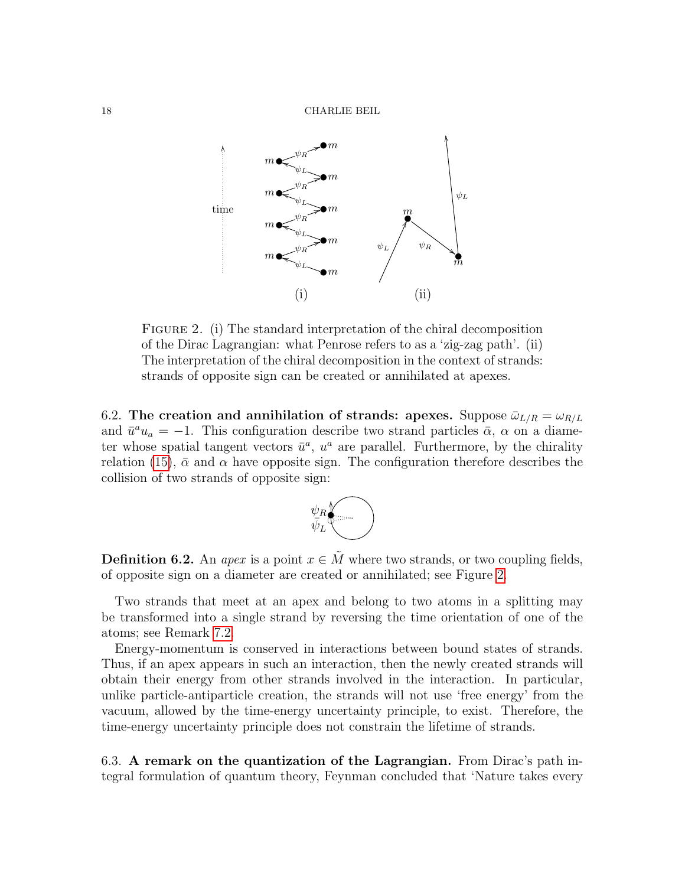18 CHARLIE BEIL



<span id="page-17-0"></span>FIGURE 2. (i) The standard interpretation of the chiral decomposition of the Dirac Lagrangian: what Penrose refers to as a 'zig-zag path'. (ii) The interpretation of the chiral decomposition in the context of strands: strands of opposite sign can be created or annihilated at apexes.

6.2. The creation and annihilation of strands: apexes. Suppose  $\bar{\omega}_{L/R} = \omega_{R/L}$ and  $\bar{u}^a u_a = -1$ . This configuration describe two strand particles  $\bar{\alpha}$ ,  $\alpha$  on a diameter whose spatial tangent vectors  $\bar{u}^a$ ,  $u^a$  are parallel. Furthermore, by the chirality relation [\(15\)](#page-12-3),  $\bar{\alpha}$  and  $\alpha$  have opposite sign. The configuration therefore describes the collision of two strands of opposite sign:



**Definition 6.2.** An *apex* is a point  $x \in M$  where two strands, or two coupling fields, of opposite sign on a diameter are created or annihilated; see Figure [2.](#page-17-0)

Two strands that meet at an apex and belong to two atoms in a splitting may be transformed into a single strand by reversing the time orientation of one of the atoms; see Remark [7.2.](#page-20-1)

Energy-momentum is conserved in interactions between bound states of strands. Thus, if an apex appears in such an interaction, then the newly created strands will obtain their energy from other strands involved in the interaction. In particular, unlike particle-antiparticle creation, the strands will not use 'free energy' from the vacuum, allowed by the time-energy uncertainty principle, to exist. Therefore, the time-energy uncertainty principle does not constrain the lifetime of strands.

6.3. A remark on the quantization of the Lagrangian. From Dirac's path integral formulation of quantum theory, Feynman concluded that 'Nature takes every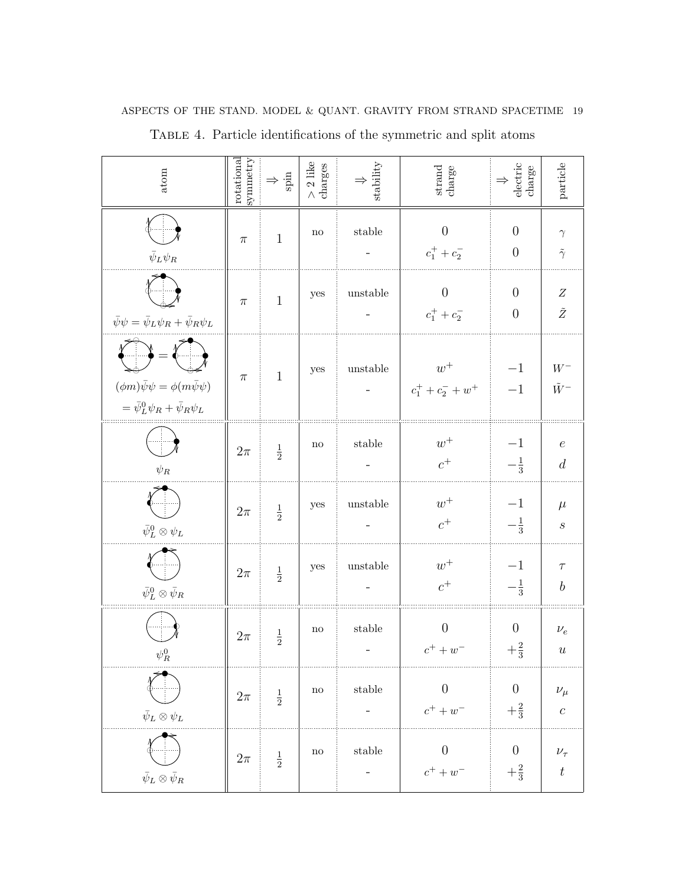| atom                                                                                                | rotational<br>symmetry | $\Rightarrow \frac{\text{d}}{\text{d}x}$ | $>$ 2 like charges     | $\Downarrow$ stability                                                                                    | $_\mathrm{charge}$                | $$\Downarrow$$ electric charge     | $\rm particle$                  |
|-----------------------------------------------------------------------------------------------------|------------------------|------------------------------------------|------------------------|-----------------------------------------------------------------------------------------------------------|-----------------------------------|------------------------------------|---------------------------------|
| $\bar{\psi}_L \psi_R$                                                                               | $\pi$                  | $\mathbf{1}$                             | $\mathbf{n}\mathbf{o}$ | stable                                                                                                    | $\theta$<br>$c_1^+ + c_2^-$       | $\boldsymbol{0}$<br>$\overline{0}$ | $\gamma$<br>$\tilde{\gamma}$    |
| $\bar{\psi}\psi = \bar{\psi}_L \psi_R + \bar{\psi}_R \psi_L$                                        | $\pi$                  | $\mathbf{1}$                             | yes                    | unstable                                                                                                  | $\overline{0}$<br>$c_1^+ + c_2^-$ | $\overline{0}$<br>$\theta$         | $\boldsymbol{Z}$<br>$\tilde{Z}$ |
| $(\phi m)\bar{\psi}\psi = \phi(m\bar{\psi}\psi)$<br>$= \bar{\psi}_L^0 \psi_R + \bar{\psi}_R \psi_L$ | $\pi$                  | $\mathbf{1}$                             | yes                    | unstable                                                                                                  | $w^+$<br>$c_1^+ + c_2^- + w^+$    | $-1$<br>$-1$                       | $W^-$<br>$\tilde{W}^-$          |
| $\psi_R$                                                                                            | $2\pi$                 | $\frac{1}{2}$                            | $\mathop{\mathrm{no}}$ | stable                                                                                                    | $w^+$<br>$c^+$                    | $-1$<br>$-\frac{1}{3}$             | $\boldsymbol{e}$<br>d           |
| $\bar\psi^0_L\otimes\psi_L$                                                                         | $2\pi$                 | $\frac{1}{2}$                            | yes                    | unstable                                                                                                  | $w^+$<br>$\boldsymbol{c}^+$       | $-1$<br>$-\frac{1}{3}$             | $\mu$<br>$\boldsymbol{S}$       |
| $\bar\psi^0_L\otimes\bar\psi_R$                                                                     | $2\pi$                 | $\frac{1}{2}$                            | yes                    | unstable                                                                                                  | $w^+$<br>$c^+$                    | $-1$<br>$-\frac{1}{3}$             | $\tau$<br>$\boldsymbol{b}$      |
| $\psi_R^0$                                                                                          | $2\pi$                 | $\frac{1}{2}$                            | $\operatorname{no}$    | stable                                                                                                    | $\overline{0}$<br>$c^{+} + w^{-}$ | $\overline{0}$<br>$+\frac{2}{3}$   | $\nu_e$<br>$\boldsymbol{u}$     |
| $\bar\psi_L\otimes\psi_L$                                                                           | $2\pi$                 | $\frac{1}{2}$                            | $\rm{no}$              | $% \left\vert \left( \mathbf{1}_{\mathbf{1}}\right) _{i}\right\rangle$ stable<br>$\overline{\phantom{0}}$ | $\boldsymbol{0}$<br>$c^++w^-$     | $\boldsymbol{0}$<br>$+\frac{2}{3}$ | $\nu_\mu$<br>$\boldsymbol{c}$   |
| $\bar{\psi}_L \otimes \bar{\psi}_R$                                                                 | $2\pi$                 | $\frac{1}{2}$                            | $\rm no$               | $% \left\vert \left( \mathbf{1}_{\mathbf{1}}\right) _{i}\right\rangle$ stable<br>-                        | $\boldsymbol{0}$<br>$c^++w^-$     | $\boldsymbol{0}$<br>$+\frac{2}{3}$ | $\nu_\tau$<br>$\boldsymbol{t}$  |

 $\bar\psi_L\otimes\bar\psi_R$ 

ASPECTS OF THE STAND. MODEL  $\&$  QUANT. GRAVITY FROM STRAND SPACETIME  $\,$  19  $\,$ 

<span id="page-18-0"></span>Table 4. Particle identifications of the symmetric and split atoms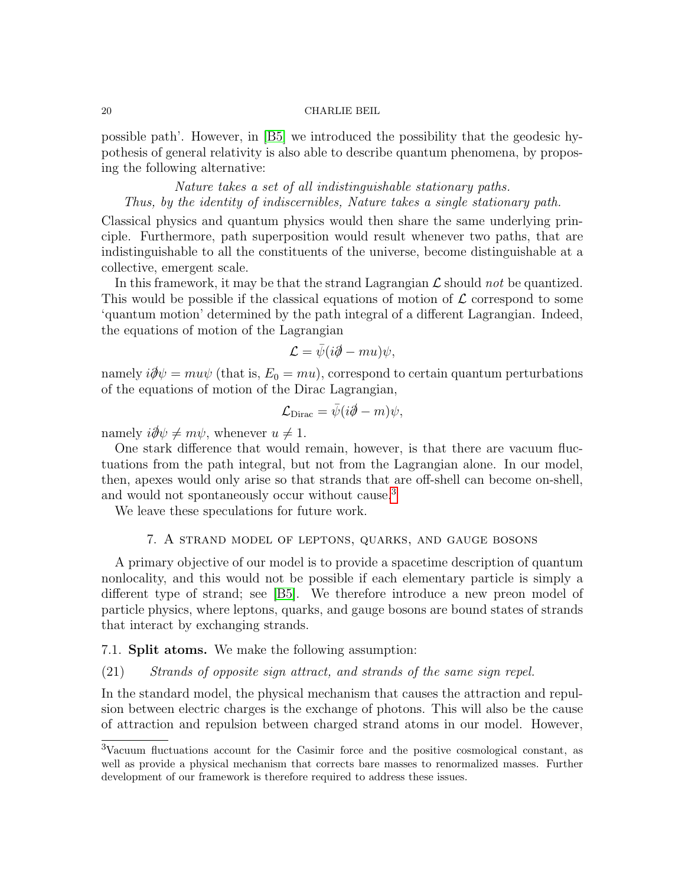possible path'. However, in [\[B5\]](#page-38-0) we introduced the possibility that the geodesic hypothesis of general relativity is also able to describe quantum phenomena, by proposing the following alternative:

Nature takes a set of all indistinguishable stationary paths. Thus, by the identity of indiscernibles, Nature takes a single stationary path.

Classical physics and quantum physics would then share the same underlying principle. Furthermore, path superposition would result whenever two paths, that are indistinguishable to all the constituents of the universe, become distinguishable at a collective, emergent scale.

In this framework, it may be that the strand Lagrangian  $\mathcal L$  should not be quantized. This would be possible if the classical equations of motion of  $\mathcal L$  correspond to some 'quantum motion' determined by the path integral of a different Lagrangian. Indeed, the equations of motion of the Lagrangian

$$
\mathcal{L} = \bar{\psi}(i\partial \!\!\!/- m u)\psi,
$$

namely  $i\partial/\psi = m u \psi$  (that is,  $E_0 = m u$ ), correspond to certain quantum perturbations of the equations of motion of the Dirac Lagrangian,

$$
\mathcal{L}_{\text{Dirac}} = \bar{\psi}(i\partial \!\!\!/- m)\psi,
$$

namely  $i\partial \psi \neq m\psi$ , whenever  $u \neq 1$ .

One stark difference that would remain, however, is that there are vacuum fluctuations from the path integral, but not from the Lagrangian alone. In our model, then, apexes would only arise so that strands that are off-shell can become on-shell, and would not spontaneously occur without cause.[3](#page-19-1)

We leave these speculations for future work.

### 7. A strand model of leptons, quarks, and gauge bosons

<span id="page-19-0"></span>A primary objective of our model is to provide a spacetime description of quantum nonlocality, and this would not be possible if each elementary particle is simply a different type of strand; see [\[B5\]](#page-38-0). We therefore introduce a new preon model of particle physics, where leptons, quarks, and gauge bosons are bound states of strands that interact by exchanging strands.

### 7.1. Split atoms. We make the following assumption:

# <span id="page-19-2"></span>(21) Strands of opposite sign attract, and strands of the same sign repel.

In the standard model, the physical mechanism that causes the attraction and repulsion between electric charges is the exchange of photons. This will also be the cause of attraction and repulsion between charged strand atoms in our model. However,

<span id="page-19-1"></span><sup>3</sup>Vacuum fluctuations account for the Casimir force and the positive cosmological constant, as well as provide a physical mechanism that corrects bare masses to renormalized masses. Further development of our framework is therefore required to address these issues.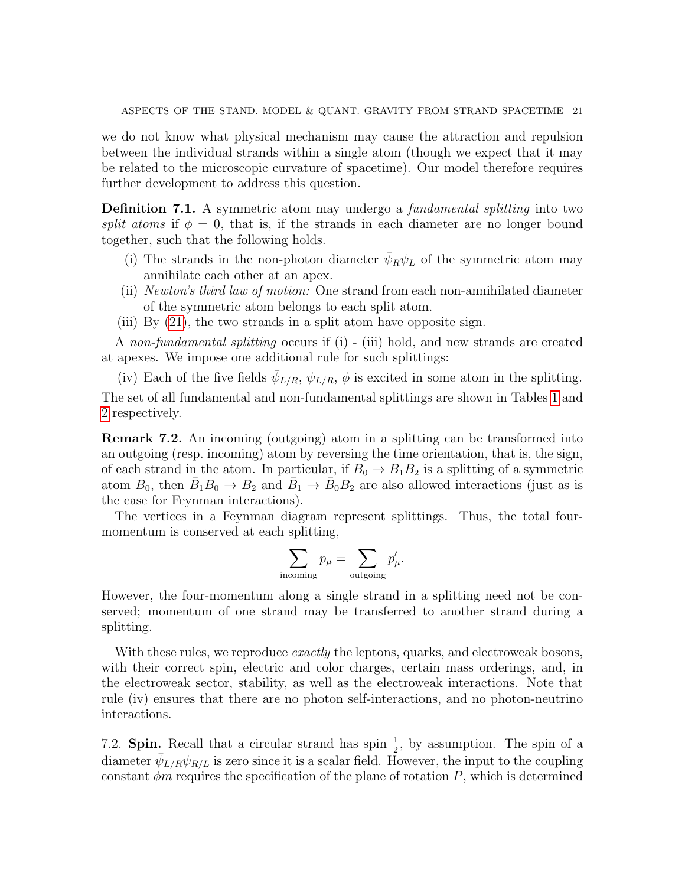we do not know what physical mechanism may cause the attraction and repulsion between the individual strands within a single atom (though we expect that it may be related to the microscopic curvature of spacetime). Our model therefore requires further development to address this question.

<span id="page-20-0"></span>Definition 7.1. A symmetric atom may undergo a *fundamental splitting* into two split atoms if  $\phi = 0$ , that is, if the strands in each diameter are no longer bound together, such that the following holds.

- (i) The strands in the non-photon diameter  $\bar{\psi}_R \psi_L$  of the symmetric atom may annihilate each other at an apex.
- (ii) Newton's third law of motion: One strand from each non-annihilated diameter of the symmetric atom belongs to each split atom.
- (iii) By [\(21\)](#page-19-2), the two strands in a split atom have opposite sign.

A non-fundamental splitting occurs if (i) - (iii) hold, and new strands are created at apexes. We impose one additional rule for such splittings:

(iv) Each of the five fields  $\bar{\psi}_{L/R}$ ,  $\psi_{L/R}$ ,  $\phi$  is excited in some atom in the splitting. The set of all fundamental and non-fundamental splittings are shown in Tables [1](#page-3-1) and [2](#page-4-0) respectively.

<span id="page-20-1"></span>Remark 7.2. An incoming (outgoing) atom in a splitting can be transformed into an outgoing (resp. incoming) atom by reversing the time orientation, that is, the sign, of each strand in the atom. In particular, if  $B_0 \to B_1 B_2$  is a splitting of a symmetric atom  $B_0$ , then  $\bar{B}_1 B_0 \to B_2$  and  $\bar{B}_1 \to \bar{B}_0 B_2$  are also allowed interactions (just as is the case for Feynman interactions).

The vertices in a Feynman diagram represent splittings. Thus, the total fourmomentum is conserved at each splitting,

$$
\sum_{\text{incoming}} p_{\mu} = \sum_{\text{outgoing}} p'_{\mu}.
$$

However, the four-momentum along a single strand in a splitting need not be conserved; momentum of one strand may be transferred to another strand during a splitting.

With these rules, we reproduce *exactly* the leptons, quarks, and electroweak bosons, with their correct spin, electric and color charges, certain mass orderings, and, in the electroweak sector, stability, as well as the electroweak interactions. Note that rule (iv) ensures that there are no photon self-interactions, and no photon-neutrino interactions.

7.2. **Spin.** Recall that a circular strand has spin  $\frac{1}{2}$ , by assumption. The spin of a diameter  $\bar{\psi}_{L/R}\psi_{R/L}$  is zero since it is a scalar field. However, the input to the coupling constant  $\phi m$  requires the specification of the plane of rotation P, which is determined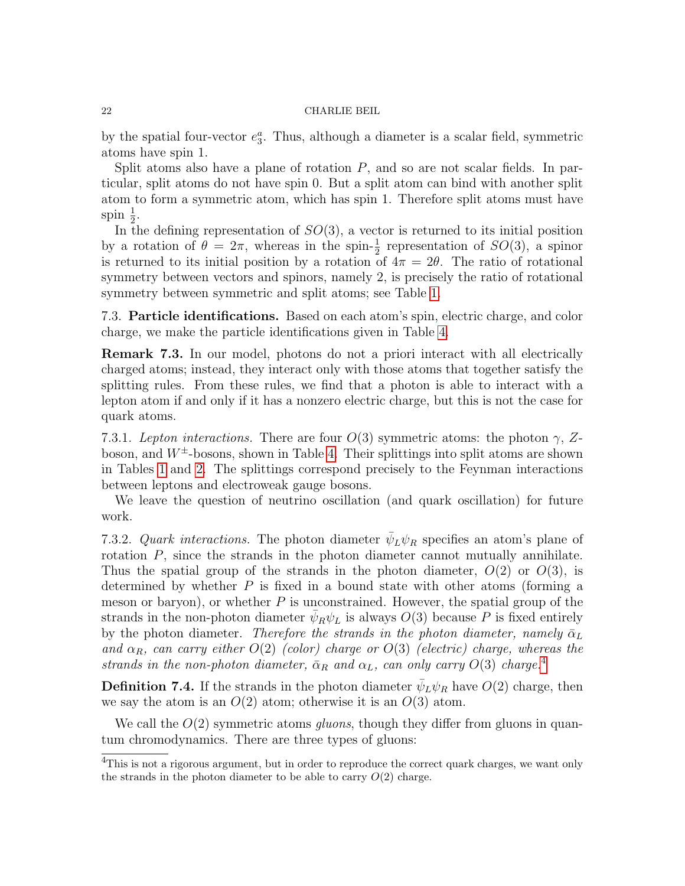by the spatial four-vector  $e_3^a$ . Thus, although a diameter is a scalar field, symmetric atoms have spin 1.

Split atoms also have a plane of rotation  $P$ , and so are not scalar fields. In particular, split atoms do not have spin 0. But a split atom can bind with another split atom to form a symmetric atom, which has spin 1. Therefore split atoms must have spin  $\frac{1}{2}$ .

In the defining representation of  $SO(3)$ , a vector is returned to its initial position by a rotation of  $\theta = 2\pi$ , whereas in the spin- $\frac{1}{2}$  representation of  $SO(3)$ , a spinor is returned to its initial position by a rotation of  $4\pi = 2\theta$ . The ratio of rotational symmetry between vectors and spinors, namely 2, is precisely the ratio of rotational symmetry between symmetric and split atoms; see Table [1.](#page-3-1)

7.3. Particle identifications. Based on each atom's spin, electric charge, and color charge, we make the particle identifications given in Table [4.](#page-18-0)

Remark 7.3. In our model, photons do not a priori interact with all electrically charged atoms; instead, they interact only with those atoms that together satisfy the splitting rules. From these rules, we find that a photon is able to interact with a lepton atom if and only if it has a nonzero electric charge, but this is not the case for quark atoms.

7.3.1. Lepton interactions. There are four  $O(3)$  symmetric atoms: the photon  $\gamma$ , Zboson, and  $W^{\pm}$ -bosons, shown in Table [4.](#page-18-0) Their splittings into split atoms are shown in Tables [1](#page-3-1) and [2.](#page-4-0) The splittings correspond precisely to the Feynman interactions between leptons and electroweak gauge bosons.

We leave the question of neutrino oscillation (and quark oscillation) for future work.

<span id="page-21-0"></span>7.3.2. Quark interactions. The photon diameter  $\bar{\psi}_L \psi_R$  specifies an atom's plane of rotation P, since the strands in the photon diameter cannot mutually annihilate. Thus the spatial group of the strands in the photon diameter,  $O(2)$  or  $O(3)$ , is determined by whether  $P$  is fixed in a bound state with other atoms (forming a meson or baryon), or whether  $P$  is unconstrained. However, the spatial group of the strands in the non-photon diameter  $\bar{\psi}_R \psi_L$  is always  $O(3)$  because P is fixed entirely by the photon diameter. Therefore the strands in the photon diameter, namely  $\bar{\alpha}_L$ and  $\alpha_R$ , can carry either  $O(2)$  (color) charge or  $O(3)$  (electric) charge, whereas the strands in the non-photon diameter,  $\bar{\alpha}_R$  and  $\alpha_L$ , can only carry  $O(3)$  charge.<sup>[4](#page-21-1)</sup>

**Definition 7.4.** If the strands in the photon diameter  $\bar{\psi}_L \psi_R$  have  $O(2)$  charge, then we say the atom is an  $O(2)$  atom; otherwise it is an  $O(3)$  atom.

We call the  $O(2)$  symmetric atoms *gluons*, though they differ from gluons in quantum chromodynamics. There are three types of gluons:

<span id="page-21-1"></span><sup>&</sup>lt;sup>4</sup>This is not a rigorous argument, but in order to reproduce the correct quark charges, we want only the strands in the photon diameter to be able to carry  $O(2)$  charge.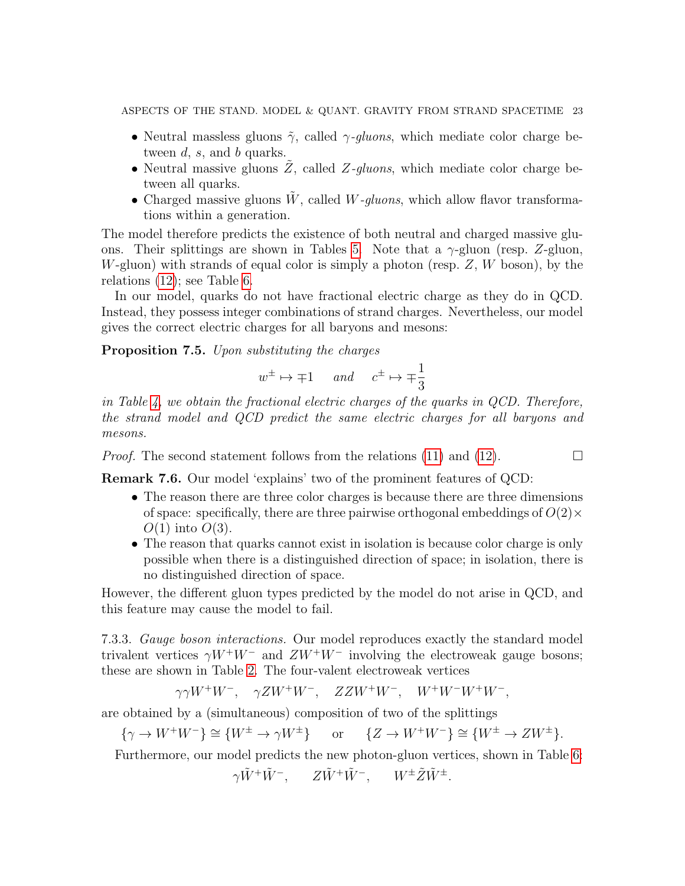ASPECTS OF THE STAND. MODEL & QUANT. GRAVITY FROM STRAND SPACETIME 23

- Neutral massless gluons  $\tilde{\gamma}$ , called  $\gamma$ -gluons, which mediate color charge between  $d$ ,  $s$ , and  $b$  quarks.
- Neutral massive gluons  $Z$ , called  $Z$ -gluons, which mediate color charge between all quarks.
- Charged massive gluons  $\tilde{W}$ , called *W*-*gluons*, which allow flavor transformations within a generation.

The model therefore predicts the existence of both neutral and charged massive glu-ons. Their splittings are shown in Tables [5.](#page-23-1) Note that a  $\gamma$ -gluon (resp. Z-gluon, W-gluon) with strands of equal color is simply a photon (resp.  $Z$ , W boson), by the relations [\(12\)](#page-10-0); see Table [6.](#page-24-0)

In our model, quarks do not have fractional electric charge as they do in QCD. Instead, they possess integer combinations of strand charges. Nevertheless, our model gives the correct electric charges for all baryons and mesons:

Proposition 7.5. Upon substituting the charges

$$
w^{\pm} \mapsto \mp 1
$$
 and  $c^{\pm} \mapsto \mp \frac{1}{3}$ 

in Table [4,](#page-18-0) we obtain the fractional electric charges of the quarks in QCD. Therefore, the strand model and QCD predict the same electric charges for all baryons and mesons.

*Proof.* The second statement follows from the relations [\(11\)](#page-10-1) and [\(12\)](#page-10-0).  $\Box$ 

Remark 7.6. Our model 'explains' two of the prominent features of QCD:

- The reason there are three color charges is because there are three dimensions of space: specifically, there are three pairwise orthogonal embeddings of  $O(2) \times$  $O(1)$  into  $O(3)$ .
- The reason that quarks cannot exist in isolation is because color charge is only possible when there is a distinguished direction of space; in isolation, there is no distinguished direction of space.

However, the different gluon types predicted by the model do not arise in QCD, and this feature may cause the model to fail.

7.3.3. Gauge boson interactions. Our model reproduces exactly the standard model trivalent vertices  $\gamma W^+W^-$  and  $ZW^+W^-$  involving the electroweak gauge bosons; these are shown in Table [2.](#page-4-0) The four-valent electroweak vertices

$$
\gamma\gamma W^+W^-, \quad \gamma Z W^+W^-, \quad Z Z W^+W^-, \quad W^+W^-W^+W^-,
$$

are obtained by a (simultaneous) composition of two of the splittings

 $\{\gamma \to W^+W^-\} \cong \{W^{\pm} \to \gamma W^{\pm}\}\$  or  $\{Z \to W^+W^-\} \cong \{W^{\pm} \to ZW^{\pm}\}.$ 

Furthermore, our model predicts the new photon-gluon vertices, shown in Table [6:](#page-24-0)

$$
\gamma \tilde{W}^+ \tilde{W}^-, \qquad Z \tilde{W}^+ \tilde{W}^-, \qquad W^{\pm} \tilde{Z} \tilde{W}^{\pm}.
$$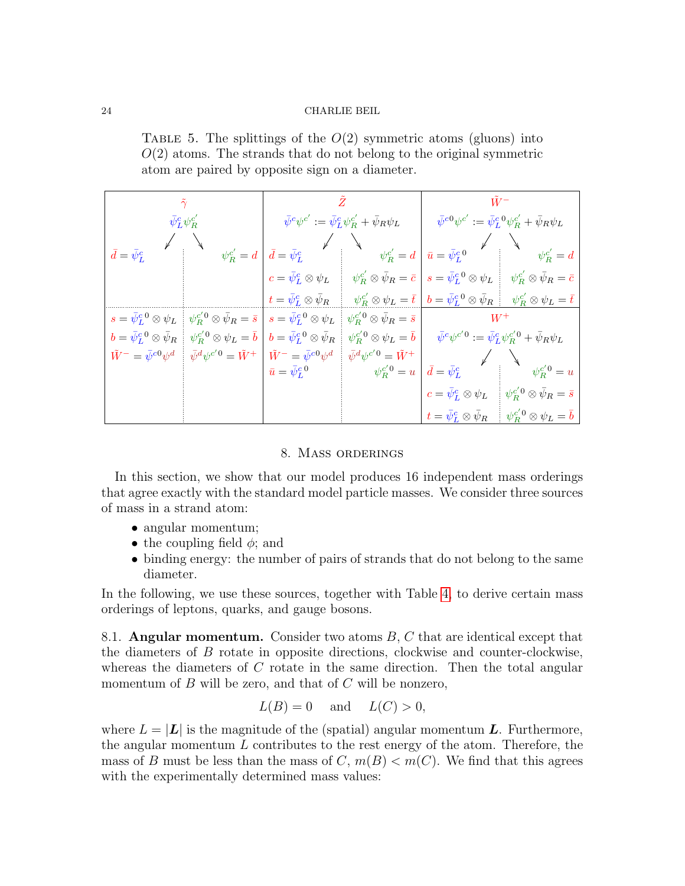<span id="page-23-1"></span>TABLE 5. The splittings of the  $O(2)$  symmetric atoms (gluons) into  $O(2)$  atoms. The strands that do not belong to the original symmetric atom are paired by opposite sign on a diameter.

|                                           | $\tilde{\gamma}$                                      |                                                                          |                                                                                   | $\tilde{W}^-$                                                          |                                                                                           |  |
|-------------------------------------------|-------------------------------------------------------|--------------------------------------------------------------------------|-----------------------------------------------------------------------------------|------------------------------------------------------------------------|-------------------------------------------------------------------------------------------|--|
| $\bar{\psi}^c_L\psi^{c'}_R$               |                                                       |                                                                          | $\bar{\psi}^c \psi^{c'} := \bar{\psi}_L^c \psi_R^{c'} + \bar{\psi}_R \psi_L$      | $\bar\psi^{c0}\psi^{c'}:=\bar\psi^{c~0}_L\psi^{c'}_R+\bar\psi_R\psi_L$ |                                                                                           |  |
| $\bar{d}=\bar{\psi}_L^c$                  | $\psi_R^{c'}=d$                                       | $\bar{d}=\bar{\psi}_L^c$                                                 | $\psi_R^{c'}=d$                                                                   | $\bar{u} = \bar{\psi}_L^{c,0}$                                         | $\psi_R^{c'}=d$                                                                           |  |
|                                           |                                                       | $c=\bar{\psi}^c_L\otimes\psi_L$                                          | $\psi_{R}^{c'}\otimes\bar{\psi}_{R}=\bar{c}$                                      | $s=\bar{\psi}^c_L{}^0\otimes\psi_L$                                    | $\psi_{R}^{c'}\otimes\bar{\psi}_{R}=\bar{c}$                                              |  |
|                                           |                                                       | $t=\bar\psi^c_L\otimes\bar\psi_R$                                        | $\psi^{c'}_R \otimes \psi_L = \bar{t}$                                            | $b=\bar\psi_L^{c\;0}\otimes\bar\psi_R$                                 | $ \psi_{R}^{c'}\otimes\psi_{L}=\bar{t}^{\,\,\prime} $                                     |  |
| $s=\bar{\psi}^c_L{}^0\otimes\psi_L$       | $\psi_R^{c'0}\otimes\bar\psi_R=\bar s$                | $s=\bar{\psi}^c_L{}^0\otimes\psi_L$                                      | $\psi_R^{c^\prime 0}\otimes\bar\psi_R=\bar s$                                     | $W^+$                                                                  |                                                                                           |  |
| $b=\bar{\psi}^c_L{}^0\otimes\bar{\psi}_R$ | $\psi_R^{c'0}\otimes\psi_L=\bar{b}$                   | $b=\bar{\psi}^c_L{}^0\otimes\bar{\psi}_R$                                | $\psi_R^{c'0}\otimes\psi_L=\bar{b}$                                               |                                                                        | $\bar\psi^c\psi^{c'\hspace{1pt}0}:=\bar\psi^c_L\psi^{c'\hspace{1pt}0}_R+\bar\psi_R\psi_L$ |  |
| $\tilde{W}^- = \bar{\psi}^{c0} \psi^d$    | $\bar{\psi}^d\psi^{c'\hspace{0.25pt}0} = \tilde{W}^+$ | $\tilde{W}^- = \bar{\psi}^{c0} \psi^d$<br>$\bar{u} = \bar{\psi}_L^{c~0}$ | $\bar{\psi}^d\psi^{c'\hspace{0.25mm}0}=\tilde{W}^+$<br>$\psi_{R}^{c^{\prime}0}=u$ | $\bar{d}=\bar{\psi}_L^c$                                               | $\psi_R^{c'\hspace{-0.1cm}\prime\hspace{-0.1cm}0}=u$                                      |  |
|                                           |                                                       |                                                                          |                                                                                   | $c=\bar{\psi}^c_L\otimes\psi_L$                                        | $\psi^{c'\,0}_R \otimes \bar\psi_R = \bar s$                                              |  |
|                                           |                                                       |                                                                          |                                                                                   | $t=\bar{\psi}^c_L \otimes \bar{\psi}_R$                                | $\psi_R^{c'\,0}\otimes\psi_L=\bar b$                                                      |  |

#### 8. Mass orderings

<span id="page-23-0"></span>In this section, we show that our model produces 16 independent mass orderings that agree exactly with the standard model particle masses. We consider three sources of mass in a strand atom:

- angular momentum;
- the coupling field  $\phi$ ; and
- binding energy: the number of pairs of strands that do not belong to the same diameter.

In the following, we use these sources, together with Table [4,](#page-18-0) to derive certain mass orderings of leptons, quarks, and gauge bosons.

8.1. Angular momentum. Consider two atoms  $B, C$  that are identical except that the diameters of B rotate in opposite directions, clockwise and counter-clockwise, whereas the diameters of  $C$  rotate in the same direction. Then the total angular momentum of  $B$  will be zero, and that of  $C$  will be nonzero,

$$
L(B) = 0 \quad \text{and} \quad L(C) > 0,
$$

where  $L = |L|$  is the magnitude of the (spatial) angular momentum L. Furthermore, the angular momentum  $L$  contributes to the rest energy of the atom. Therefore, the mass of B must be less than the mass of C,  $m(B) < m(C)$ . We find that this agrees with the experimentally determined mass values: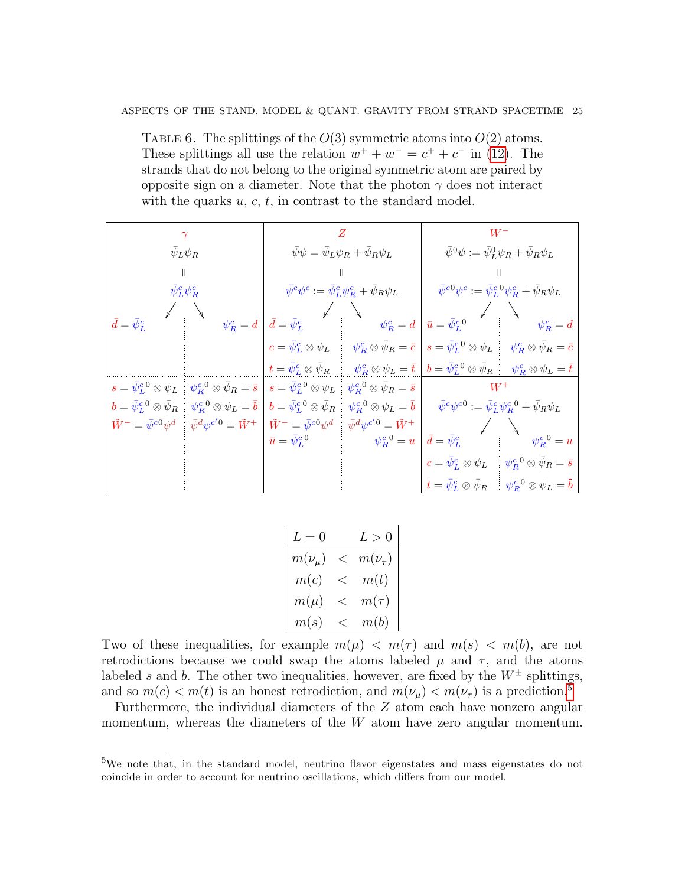### ASPECTS OF THE STAND. MODEL & QUANT. GRAVITY FROM STRAND SPACETIME 25

<span id="page-24-0"></span>TABLE 6. The splittings of the  $O(3)$  symmetric atoms into  $O(2)$  atoms. These splittings all use the relation  $w^+ + w^- = c^+ + c^-$  in [\(12\)](#page-10-0). The strands that do not belong to the original symmetric atom are paired by opposite sign on a diameter. Note that the photon  $\gamma$  does not interact with the quarks  $u, c, t$ , in contrast to the standard model.

|                                           |                                          |                                           |                                                              | $W^{\rm -}$                                                           |                                                                                         |  |
|-------------------------------------------|------------------------------------------|-------------------------------------------|--------------------------------------------------------------|-----------------------------------------------------------------------|-----------------------------------------------------------------------------------------|--|
|                                           | $\bar{\psi}_L \psi_R$                    |                                           | $\bar{\psi}\psi = \bar{\psi}_L \psi_R + \bar{\psi}_R \psi_L$ | $\bar{\psi}^0 \psi := \bar{\psi}_L^0 \psi_R + \bar{\psi}_R \psi_L$    |                                                                                         |  |
|                                           | $\mathbb{I}$                             |                                           | $\parallel$                                                  |                                                                       |                                                                                         |  |
|                                           | $\bar{\psi}_L^c \psi_R^c$                |                                           | $\bar\psi^c\psi^c:=\bar\psi^c_L\psi^c_R+\bar\psi_R\psi_L$    |                                                                       | $\bar\psi^{c0}\psi^c:=\bar\psi^{c~0}_L\psi^c_R+\bar\psi_R\psi_L$                        |  |
|                                           |                                          |                                           |                                                              |                                                                       |                                                                                         |  |
| $\bar{d}=\bar{\psi}_L^c$                  | $\psi_R^c = d$                           | $\bar{d}=\bar{\psi}_L^c$                  | $\psi_R^c=d$                                                 | $\bar{u} = \bar{\psi}_L^{c\,0}$                                       | $\psi_R^c=d$                                                                            |  |
|                                           |                                          | $c=\bar{\psi}^c_L\otimes\psi_L$           | $\psi_R^c \otimes \bar \psi_R = \bar c$                      | $s=\bar{\psi}^c_L{}^0\otimes\psi_L$                                   | $\psi_R^c \otimes \bar{\psi}_R = \bar{c}$                                               |  |
|                                           |                                          | $t=\bar{\psi}_L^c\otimes\bar{\psi}_R$     | $\psi_R^c \otimes \psi_L = \overline{t}$                     | $b=\bar{\psi}^c_L{}^0\otimes\bar{\psi}_R$                             | $\psi_R^c \otimes \psi_L = \bar{t}$                                                     |  |
| $s=\bar{\psi}^c_L{}^0\otimes\psi_L$       | $\psi_R^c{}^0\otimes\bar\psi_R=\bar s$   | $s=\bar{\psi}^{c\;0}_{L}\otimes\psi_{L}$  | $\psi_R^{c~0}\otimes\bar\psi_R=\bar s$                       | $W^+$                                                                 |                                                                                         |  |
| $b=\bar{\psi}^c_L{}^0\otimes\bar{\psi}_R$ | $\psi_R^{c\,0}\otimes\psi_L=\bar{b}$     | $b=\bar{\psi}^c_L{}^0\otimes\bar{\psi}_R$ | $\psi_R^{c\;0}\otimes\psi_L=\bar b$                          | $\bar{\psi}^c\psi^{c0}:=\bar{\psi}_L^c\psi_R^{c0}+\bar{\psi}_R\psi_L$ |                                                                                         |  |
| $\tilde{W}^- = \bar{\psi}^{c0} \psi^d$    | $\bar{\psi}^d\psi^{c'\,0} = \tilde{W}^+$ | $\tilde{W}^- = \bar{\psi}^{c0} \psi^d$    | $\bar{\psi}^d\psi^{c'\hspace{0.25mm}0}=\tilde{W}^+$          |                                                                       |                                                                                         |  |
|                                           |                                          | $\bar{u} = \bar{\psi}_L^{c~0}$            | $\psi_R^{c,0}=u$                                             | $\bar{d}=\bar{\psi}_L^c$                                              | $\psi_R^{c~0} = u$                                                                      |  |
|                                           |                                          |                                           |                                                              | $c=\bar{\psi}^c_L\otimes\psi_L$                                       | $\psi_R^{c\;0}\otimes\bar\psi_R=\bar s$                                                 |  |
|                                           |                                          |                                           |                                                              |                                                                       | $t = \bar{\psi}_L^c \otimes \bar{\psi}_R \qquad \psi_R^{c\;0} \otimes \psi_L = \bar{b}$ |  |

| ${\cal L}=0$ |       | L>0             |
|--------------|-------|-----------------|
| $m(\nu_\mu)$ | <     | $m(\nu_{\tau})$ |
| m(c)         | $<\,$ | m(t)            |
| $m(\mu)$     | $<\,$ | $m(\tau)$       |
| m(s)         | $<\,$ | m(b)            |

Two of these inequalities, for example  $m(\mu) < m(\tau)$  and  $m(s) < m(b)$ , are not retrodictions because we could swap the atoms labeled  $\mu$  and  $\tau$ , and the atoms labeled s and b. The other two inequalities, however, are fixed by the  $W^{\pm}$  splittings, and so  $m(c) < m(t)$  is an honest retrodiction, and  $m(\nu_{\mu}) < m(\nu_{\tau})$  is a prediction.<sup>[5](#page-24-1)</sup>

Furthermore, the individual diameters of the Z atom each have nonzero angular momentum, whereas the diameters of the  $W$  atom have zero angular momentum.

<span id="page-24-1"></span><sup>5</sup>We note that, in the standard model, neutrino flavor eigenstates and mass eigenstates do not coincide in order to account for neutrino oscillations, which differs from our model.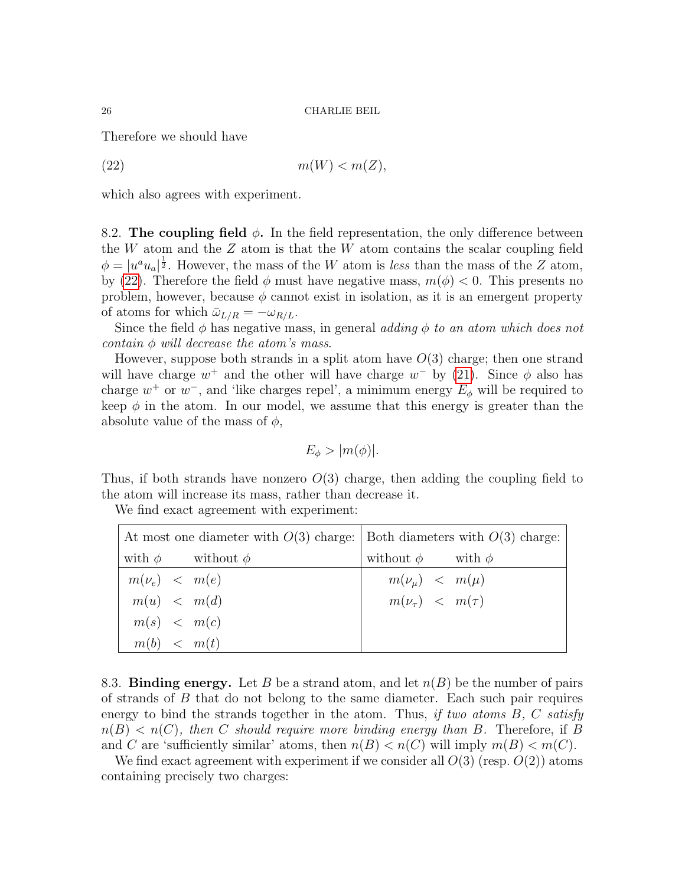Therefore we should have

<span id="page-25-0"></span>(22)  $m(W) < m(Z)$ ,

which also agrees with experiment.

8.2. The coupling field  $\phi$ . In the field representation, the only difference between the  $W$  atom and the  $Z$  atom is that the  $W$  atom contains the scalar coupling field  $\phi = |u^a u_a|^{\frac{1}{2}}$ . However, the mass of the W atom is less than the mass of the Z atom, by [\(22\)](#page-25-0). Therefore the field  $\phi$  must have negative mass,  $m(\phi) < 0$ . This presents no problem, however, because  $\phi$  cannot exist in isolation, as it is an emergent property of atoms for which  $\bar{\omega}_{L/R} = -\omega_{R/L}$ .

Since the field  $\phi$  has negative mass, in general adding  $\phi$  to an atom which does not contain  $\phi$  will decrease the atom's mass.

However, suppose both strands in a split atom have  $O(3)$  charge; then one strand will have charge  $w^+$  and the other will have charge  $w^-$  by [\(21\)](#page-19-2). Since  $\phi$  also has charge  $w^+$  or  $w^-$ , and 'like charges repel', a minimum energy  $E_\phi$  will be required to keep  $\phi$  in the atom. In our model, we assume that this energy is greater than the absolute value of the mass of  $\phi$ ,

$$
E_{\phi} > |m(\phi)|.
$$

Thus, if both strands have nonzero  $O(3)$  charge, then adding the coupling field to the atom will increase its mass, rather than decrease it.

We find exact agreement with experiment:

| At most one diameter with $O(3)$ charge: Both diameters with $O(3)$ charge: |  |                            |                              |  |  |  |
|-----------------------------------------------------------------------------|--|----------------------------|------------------------------|--|--|--|
|                                                                             |  | with $\phi$ without $\phi$ | without $\phi$ with $\phi$   |  |  |  |
| $m(\nu_e)$ < $m(e)$                                                         |  |                            | $m(\nu_{\mu}) \leq m(\mu)$   |  |  |  |
| m(u) < m(d)                                                                 |  |                            | $m(\nu_{\tau}) \leq m(\tau)$ |  |  |  |
| m(s) < m(c)                                                                 |  |                            |                              |  |  |  |
| m(b) < m(t)                                                                 |  |                            |                              |  |  |  |

8.3. Binding energy. Let B be a strand atom, and let  $n(B)$  be the number of pairs of strands of B that do not belong to the same diameter. Each such pair requires energy to bind the strands together in the atom. Thus, if two atoms  $B, C$  satisfy  $n(B) < n(C)$ , then C should require more binding energy than B. Therefore, if B and C are 'sufficiently similar' atoms, then  $n(B) < n(C)$  will imply  $m(B) < m(C)$ .

We find exact agreement with experiment if we consider all  $O(3)$  (resp.  $O(2)$ ) atoms containing precisely two charges: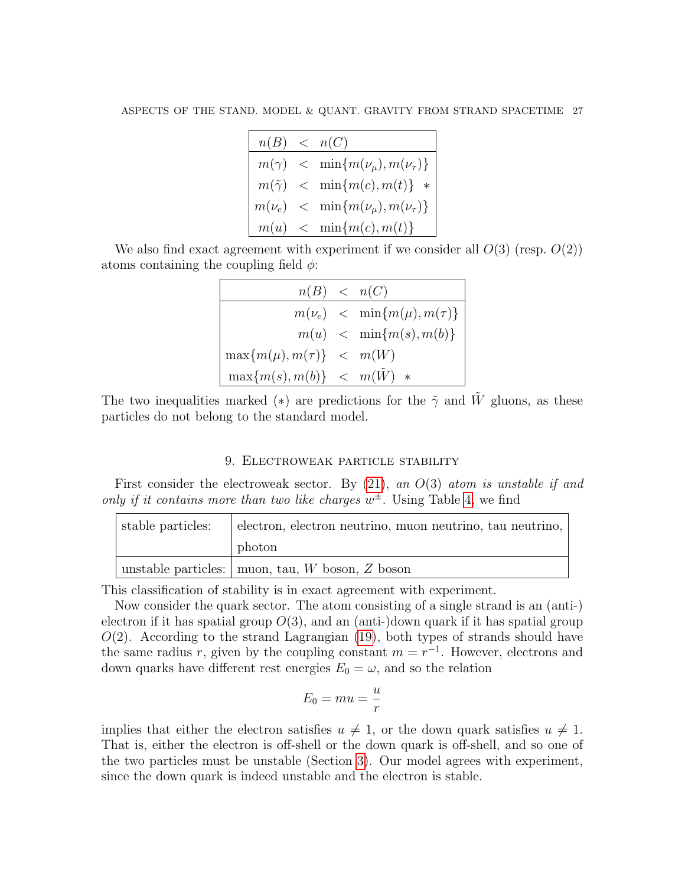| n(B) < n(C) |                                                     |
|-------------|-----------------------------------------------------|
|             | $m(\gamma)$ < $\min\{m(\nu_{\mu}), m(\nu_{\tau})\}$ |
|             | $m(\tilde{\gamma}) \leq \min\{m(c), m(t)\}\;$ *     |
|             | $m(\nu_e)$ < $\min\{m(\nu_\mu), m(\nu_\tau)\}\$     |
|             | $m(u)$ < $\min\{m(c), m(t)\}\$                      |

We also find exact agreement with experiment if we consider all  $O(3)$  (resp.  $O(2)$ ) atoms containing the coupling field  $\phi$ :

| n(B) < n(C)                        |                                         |
|------------------------------------|-----------------------------------------|
|                                    | $m(\nu_e)$ < $\min\{m(\mu), m(\tau)\}\$ |
|                                    | $m(u)$ < $\min\{m(s),m(b)\}\$           |
| $\max\{m(\mu), m(\tau)\}\leq m(W)$ |                                         |
| $\max\{m(s),m(b)\}\leq m(W) *$     |                                         |

The two inequalities marked (\*) are predictions for the  $\tilde{\gamma}$  and W gluons, as these particles do not belong to the standard model.

### 9. Electroweak particle stability

<span id="page-26-0"></span>First consider the electroweak sector. By  $(21)$ , an  $O(3)$  atom is unstable if and only if it contains more than two like charges  $w^{\pm}$ . Using Table [4,](#page-18-0) we find

| stable particles: | electron, electron neutrino, muon neutrino, tau neutrino, |
|-------------------|-----------------------------------------------------------|
|                   | photon                                                    |
|                   | unstable particles: $\vert$ muon, tau, W boson, Z boson   |

This classification of stability is in exact agreement with experiment.

Now consider the quark sector. The atom consisting of a single strand is an (anti-) electron if it has spatial group  $O(3)$ , and an (anti-)down quark if it has spatial group  $O(2)$ . According to the strand Lagrangian [\(19\)](#page-13-1), both types of strands should have the same radius r, given by the coupling constant  $m = r^{-1}$ . However, electrons and down quarks have different rest energies  $E_0 = \omega$ , and so the relation

$$
E_0 = mu = \frac{u}{r}
$$

implies that either the electron satisfies  $u \neq 1$ , or the down quark satisfies  $u \neq 1$ . That is, either the electron is off-shell or the down quark is off-shell, and so one of the two particles must be unstable (Section [3\)](#page-5-0). Our model agrees with experiment, since the down quark is indeed unstable and the electron is stable.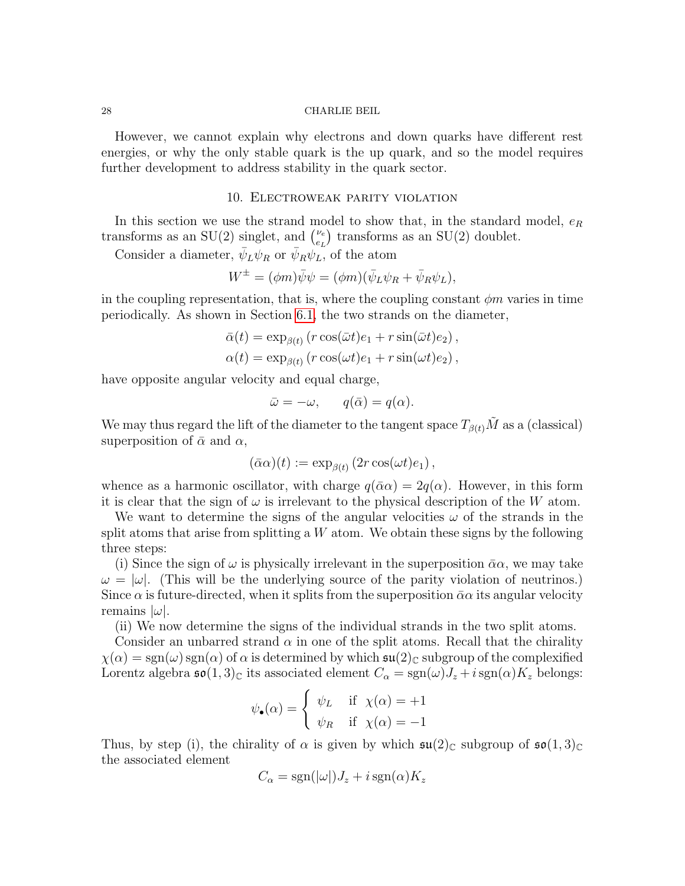However, we cannot explain why electrons and down quarks have different rest energies, or why the only stable quark is the up quark, and so the model requires further development to address stability in the quark sector.

### 10. Electroweak parity violation

<span id="page-27-0"></span>In this section we use the strand model to show that, in the standard model,  $e_R$ transforms as an SU(2) singlet, and  $\binom{\nu_e}{\nu_e}$  $\binom{\nu_e}{e_L}$  transforms as an SU(2) doublet.

Consider a diameter,  $\bar{\psi}_L \psi_R$  or  $\bar{\psi}_R \psi_L$ , of the atom

$$
W^{\pm} = (\phi m)\bar{\psi}\psi = (\phi m)(\bar{\psi}_L\psi_R + \bar{\psi}_R\psi_L),
$$

in the coupling representation, that is, where the coupling constant  $\phi m$  varies in time periodically. As shown in Section [6.1,](#page-14-0) the two strands on the diameter,

$$
\bar{\alpha}(t) = \exp_{\beta(t)} (r \cos(\bar{\omega}t)e_1 + r \sin(\bar{\omega}t)e_2),
$$
  

$$
\alpha(t) = \exp_{\beta(t)} (r \cos(\omega t)e_1 + r \sin(\omega t)e_2),
$$

have opposite angular velocity and equal charge,

$$
\bar{\omega} = -\omega, \qquad q(\bar{\alpha}) = q(\alpha).
$$

We may thus regard the lift of the diameter to the tangent space  $T_{\beta(t)}\tilde{M}$  as a (classical) superposition of  $\bar{\alpha}$  and  $\alpha$ ,

$$
(\bar{\alpha}\alpha)(t) := \exp_{\beta(t)}(2r\cos(\omega t)e_1),
$$

whence as a harmonic oscillator, with charge  $q(\bar{\alpha}\alpha) = 2q(\alpha)$ . However, in this form it is clear that the sign of  $\omega$  is irrelevant to the physical description of the W atom.

We want to determine the signs of the angular velocities  $\omega$  of the strands in the split atoms that arise from splitting a  $W$  atom. We obtain these signs by the following three steps:

(i) Since the sign of  $\omega$  is physically irrelevant in the superposition  $\bar{\alpha}\alpha$ , we may take  $\omega = |\omega|$ . (This will be the underlying source of the parity violation of neutrinos.) Since  $\alpha$  is future-directed, when it splits from the superposition  $\bar{\alpha}\alpha$  its angular velocity remains  $|\omega|$ .

(ii) We now determine the signs of the individual strands in the two split atoms.

Consider an unbarred strand  $\alpha$  in one of the split atoms. Recall that the chirality  $\chi(\alpha) = \text{sgn}(\omega) \text{ sgn}(\alpha)$  of  $\alpha$  is determined by which  $\mathfrak{su}(2)_{\mathbb{C}}$  subgroup of the complexified Lorentz algebra  $\mathfrak{so}(1,3)_{\mathbb{C}}$  its associated element  $C_{\alpha} = \text{sgn}(\omega)J_z + i \text{sgn}(\alpha)K_z$  belongs:

$$
\psi_{\bullet}(\alpha) = \begin{cases} \psi_L & \text{if } \chi(\alpha) = +1 \\ \psi_R & \text{if } \chi(\alpha) = -1 \end{cases}
$$

Thus, by step (i), the chirality of  $\alpha$  is given by which  $\mathfrak{su}(2)_{\mathbb{C}}$  subgroup of  $\mathfrak{so}(1,3)_{\mathbb{C}}$ the associated element

$$
C_{\alpha} = \text{sgn}(|\omega|)J_z + i \,\text{sgn}(\alpha)K_z
$$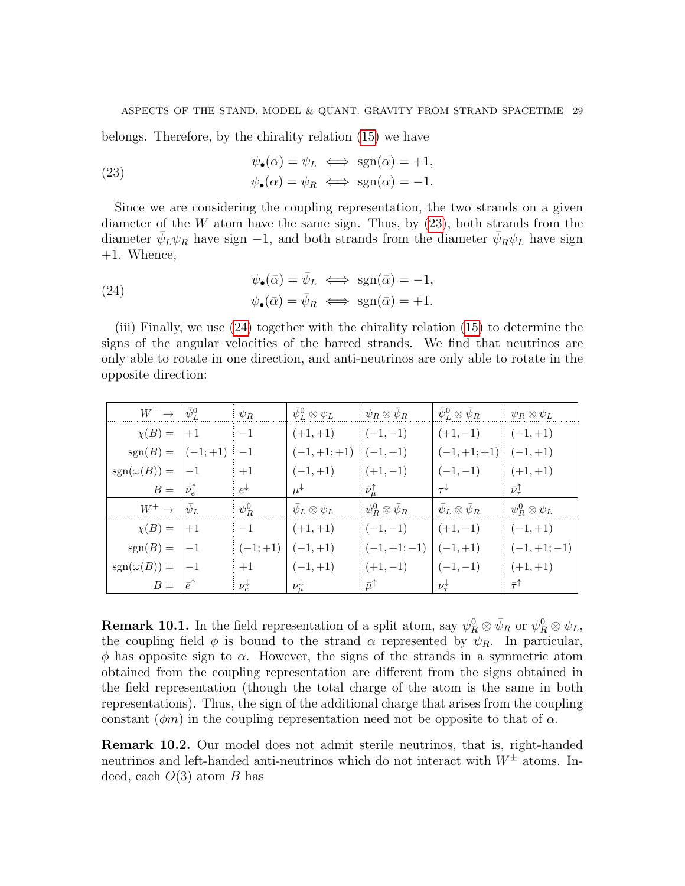belongs. Therefore, by the chirality relation [\(15\)](#page-12-3) we have

<span id="page-28-0"></span>(23) 
$$
\psi_{\bullet}(\alpha) = \psi_L \iff \text{sgn}(\alpha) = +1,
$$

$$
\psi_{\bullet}(\alpha) = \psi_R \iff \text{sgn}(\alpha) = -1.
$$

Since we are considering the coupling representation, the two strands on a given diameter of the  $W$  atom have the same sign. Thus, by  $(23)$ , both strands from the diameter  $\bar{\psi}_L \psi_R$  have sign -1, and both strands from the diameter  $\bar{\psi}_R \psi_L$  have sign +1. Whence,

<span id="page-28-1"></span>(24) 
$$
\psi_{\bullet}(\bar{\alpha}) = \bar{\psi}_L \iff \text{sgn}(\bar{\alpha}) = -1, \psi_{\bullet}(\bar{\alpha}) = \bar{\psi}_R \iff \text{sgn}(\bar{\alpha}) = +1.
$$

(iii) Finally, we use [\(24\)](#page-28-1) together with the chirality relation [\(15\)](#page-12-3) to determine the signs of the angular velocities of the barred strands. We find that neutrinos are only able to rotate in one direction, and anti-neutrinos are only able to rotate in the opposite direction:

| $W^- \rightarrow \vert \bar{\psi}_L^0$ |      | $\psi_R$             | $\bar{\psi}_L^0\otimes\psi_L$  | $\psi_R \otimes \psi_R$      | $\bar{\psi}_L^0\otimes\bar{\psi}_R$ | $\psi_R \otimes \psi_L$       |
|----------------------------------------|------|----------------------|--------------------------------|------------------------------|-------------------------------------|-------------------------------|
| $\chi(B) =$                            | $+1$ | $-1$                 | $(+1,+1)$                      | $(-1,-1)$                    | $(+1,-1)$                           | $(-1,+1)$                     |
| $sgn(B) =   (-1,+1)$                   |      | $-1$                 | $(-1, +1; +1)$                 | $(-1,+1)$                    | $(-1,+1;+1)$                        | $(-1,+1)$                     |
| $sgn(\omega(B)) =  -1 $                |      | $+1$                 | $(-1,+1)$                      | $(+1,-1)$                    | $(-1,-1)$                           | $(+1,+1)$                     |
| $B=\vert \bar{\nu}_e^{\uparrow} \vert$ |      | $e^{\downarrow}$     | $\mu^{\downarrow}$             | $\bar{\nu}_{\mu}^{\uparrow}$ | $\tau^{\downarrow}$                 | $\bar{\nu}_{\tau}^{\uparrow}$ |
| $W^+ \rightarrow  \bar{\psi}_L$        |      | $\psi^0_R$           | $\psi_L \otimes \psi_L$        | $\psi_R^0\otimes\bar\psi_R$  | $\bar{\psi}_L \otimes \bar{\psi}_R$ | $\psi_R^0\otimes\psi_L$       |
| $\chi(B) =$                            | $+1$ | $-1$                 | $(+1,+1)$                      | $(-1,-1)$                    | $(+1,-1)$                           | $(-1,+1)$                     |
| $sgn(B) =  -1 $                        |      | $(-1; +1)$           | $(-1,+1)$                      | $(-1,+1;-1)$                 | $(-1,+1)$                           | $(-1,+1;-1)$                  |
| $sgn(\omega(B)) =  -1 $                |      | $+1$                 | $(-1,+1)$                      | $(+1,-1)$                    | $(-1,-1)$                           | $(+1,+1)$                     |
| $B =   \bar{e}^{\uparrow}$             |      | $\nu_e^{\downarrow}$ | $\iota \nu_{\mu}^{\downarrow}$ | $\bar{\mu}^{\uparrow}$       | $\nu^{\downarrow}_{\tau}$           | $\bar{\tau}^{\uparrow}$       |

**Remark 10.1.** In the field representation of a split atom, say  $\psi_R^0 \otimes \bar{\psi}_R$  or  $\psi_R^0 \otimes \psi_L$ , the coupling field  $\phi$  is bound to the strand  $\alpha$  represented by  $\psi_R$ . In particular,  $\phi$  has opposite sign to  $\alpha$ . However, the signs of the strands in a symmetric atom obtained from the coupling representation are different from the signs obtained in the field representation (though the total charge of the atom is the same in both representations). Thus, the sign of the additional charge that arises from the coupling constant ( $\phi$ m) in the coupling representation need not be opposite to that of  $\alpha$ .

Remark 10.2. Our model does not admit sterile neutrinos, that is, right-handed neutrinos and left-handed anti-neutrinos which do not interact with  $W^{\pm}$  atoms. Indeed, each  $O(3)$  atom B has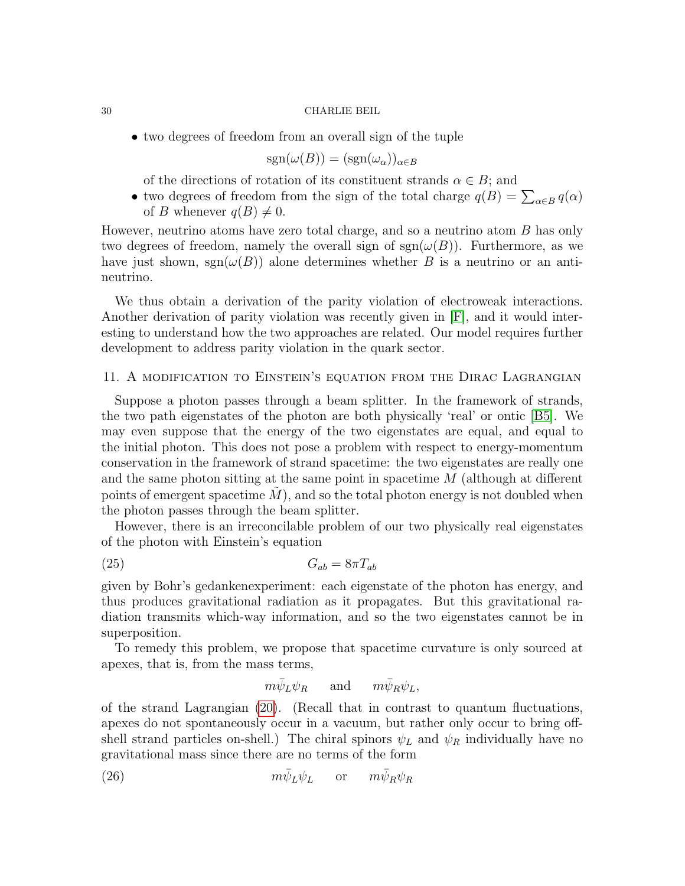• two degrees of freedom from an overall sign of the tuple

$$
\text{sgn}(\omega(B)) = (\text{sgn}(\omega_{\alpha}))_{\alpha \in B}
$$

of the directions of rotation of its constituent strands  $\alpha \in B$ ; and

• two degrees of freedom from the sign of the total charge  $q(B) = \sum_{\alpha \in B} q(\alpha)$ of B whenever  $q(B) \neq 0$ .

However, neutrino atoms have zero total charge, and so a neutrino atom B has only two degrees of freedom, namely the overall sign of  $sgn(\omega(B))$ . Furthermore, as we have just shown,  $sgn(\omega(B))$  alone determines whether B is a neutrino or an antineutrino.

We thus obtain a derivation of the parity violation of electroweak interactions. Another derivation of parity violation was recently given in [\[F\]](#page-38-12), and it would interesting to understand how the two approaches are related. Our model requires further development to address parity violation in the quark sector.

### <span id="page-29-0"></span>11. A modification to Einstein's equation from the Dirac Lagrangian

Suppose a photon passes through a beam splitter. In the framework of strands, the two path eigenstates of the photon are both physically 'real' or ontic [\[B5\]](#page-38-0). We may even suppose that the energy of the two eigenstates are equal, and equal to the initial photon. This does not pose a problem with respect to energy-momentum conservation in the framework of strand spacetime: the two eigenstates are really one and the same photon sitting at the same point in spacetime M (although at different points of emergent spacetime  $M$ ), and so the total photon energy is not doubled when the photon passes through the beam splitter.

However, there is an irreconcilable problem of our two physically real eigenstates of the photon with Einstein's equation

$$
(25) \t G_{ab} = 8\pi T_{ab}
$$

given by Bohr's gedankenexperiment: each eigenstate of the photon has energy, and thus produces gravitational radiation as it propagates. But this gravitational radiation transmits which-way information, and so the two eigenstates cannot be in superposition.

To remedy this problem, we propose that spacetime curvature is only sourced at apexes, that is, from the mass terms,

<span id="page-29-2"></span><span id="page-29-1"></span>
$$
m \bar \psi_L \psi_R \quad \ \ \text{and} \quad \ \ m \bar \psi_R \psi_L,
$$

of the strand Lagrangian [\(20\)](#page-14-1). (Recall that in contrast to quantum fluctuations, apexes do not spontaneously occur in a vacuum, but rather only occur to bring offshell strand particles on-shell.) The chiral spinors  $\psi_L$  and  $\psi_R$  individually have no gravitational mass since there are no terms of the form

(26) 
$$
m\bar{\psi}_L\psi_L \quad \text{or} \quad m\bar{\psi}_R\psi_R
$$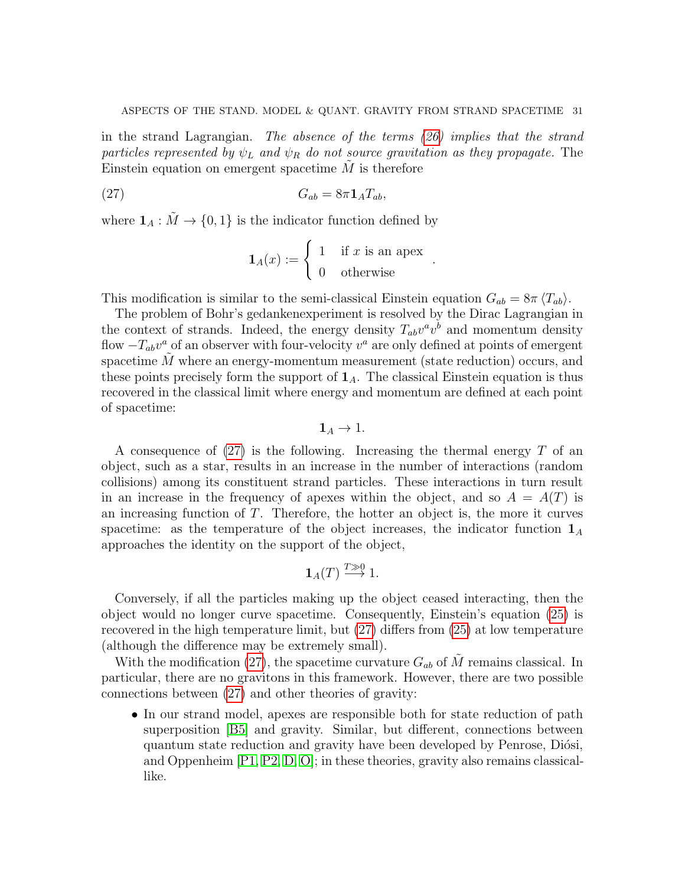in the strand Lagrangian. The absence of the terms [\(26\)](#page-29-1) implies that the strand particles represented by  $\psi_L$  and  $\psi_R$  do not source gravitation as they propagate. The Einstein equation on emergent spacetime  $M$  is therefore

$$
(27) \tGab = 8\pi 1ATab,
$$

where  $\mathbf{1}_A : \tilde{M} \to \{0,1\}$  is the indicator function defined by

<span id="page-30-0"></span>
$$
\mathbf{1}_A(x) := \begin{cases} 1 & \text{if } x \text{ is an apex} \\ 0 & \text{otherwise} \end{cases}
$$

.

This modification is similar to the semi-classical Einstein equation  $G_{ab} = 8\pi \langle T_{ab} \rangle$ .

The problem of Bohr's gedankenexperiment is resolved by the Dirac Lagrangian in the context of strands. Indeed, the energy density  $T_{ab}v^av^b$  and momentum density flow  $-T_{ab}v^a$  of an observer with four-velocity  $v^a$  are only defined at points of emergent spacetime  $\tilde{M}$  where an energy-momentum measurement (state reduction) occurs, and these points precisely form the support of  $1_A$ . The classical Einstein equation is thus recovered in the classical limit where energy and momentum are defined at each point of spacetime:

$$
\mathbf{1}_A \to 1.
$$

A consequence of  $(27)$  is the following. Increasing the thermal energy T of an object, such as a star, results in an increase in the number of interactions (random collisions) among its constituent strand particles. These interactions in turn result in an increase in the frequency of apexes within the object, and so  $A = A(T)$  is an increasing function of T. Therefore, the hotter an object is, the more it curves spacetime: as the temperature of the object increases, the indicator function  $\mathbf{1}_A$ approaches the identity on the support of the object,

$$
\mathbf{1}_A(T) \stackrel{T \gg 0}{\longrightarrow} 1.
$$

Conversely, if all the particles making up the object ceased interacting, then the object would no longer curve spacetime. Consequently, Einstein's equation [\(25\)](#page-29-2) is recovered in the high temperature limit, but [\(27\)](#page-30-0) differs from [\(25\)](#page-29-2) at low temperature (although the difference may be extremely small).

With the modification [\(27\)](#page-30-0), the spacetime curvature  $G_{ab}$  of M remains classical. In particular, there are no gravitons in this framework. However, there are two possible connections between [\(27\)](#page-30-0) and other theories of gravity:

• In our strand model, apexes are responsible both for state reduction of path superposition [\[B5\]](#page-38-0) and gravity. Similar, but different, connections between quantum state reduction and gravity have been developed by Penrose, Diósi, and Oppenheim [\[P1,](#page-38-13) [P2,](#page-38-14) [D,](#page-38-15) [O\]](#page-38-16); in these theories, gravity also remains classicallike.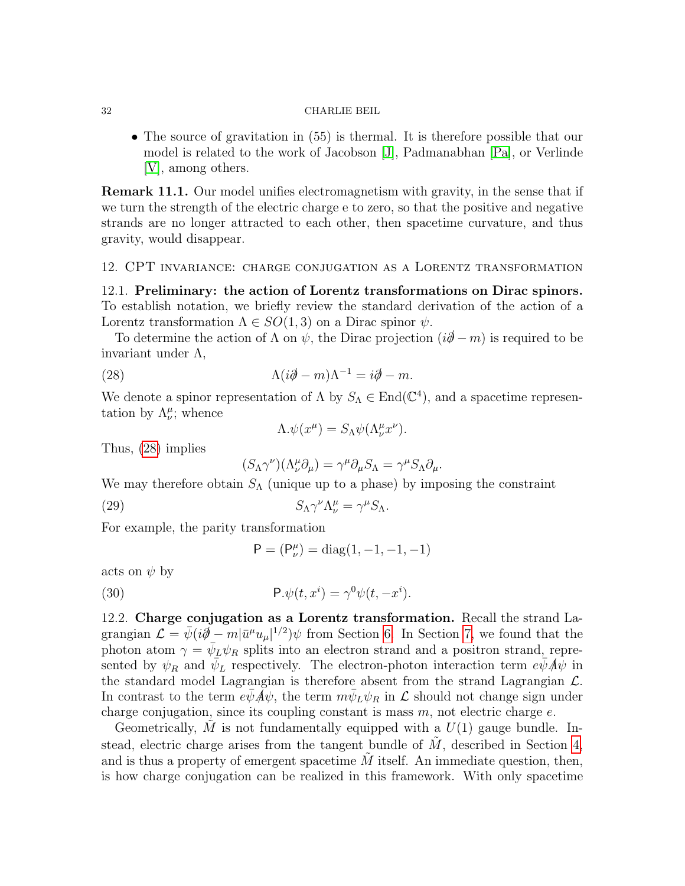• The source of gravitation in (55) is thermal. It is therefore possible that our model is related to the work of Jacobson [\[J\]](#page-38-17), Padmanabhan [\[Pa\]](#page-38-18), or Verlinde [\[V\]](#page-38-19), among others.

Remark 11.1. Our model unifies electromagnetism with gravity, in the sense that if we turn the strength of the electric charge e to zero, so that the positive and negative strands are no longer attracted to each other, then spacetime curvature, and thus gravity, would disappear.

### <span id="page-31-0"></span>12. CPT invariance: charge conjugation as a Lorentz transformation

12.1. Preliminary: the action of Lorentz transformations on Dirac spinors. To establish notation, we briefly review the standard derivation of the action of a Lorentz transformation  $\Lambda \in SO(1,3)$  on a Dirac spinor  $\psi$ .

To determine the action of  $\Lambda$  on  $\psi$ , the Dirac projection  $(i\partial - m)$  is required to be invariant under  $\Lambda$ ,

(28) 
$$
\Lambda(i\partial \!\!\!/-m)\Lambda^{-1}=i\partial \!\!\!/-m.
$$

We denote a spinor representation of  $\Lambda$  by  $S_{\Lambda} \in \text{End}(\mathbb{C}^4)$ , and a spacetime representation by  $\Lambda^{\mu}_{\nu}$ ; whence

<span id="page-31-2"></span>
$$
\Lambda.\psi(x^{\mu}) = S_{\Lambda}\psi(\Lambda^{\mu}_{\nu}x^{\nu}).
$$

Thus, [\(28\)](#page-31-2) implies

$$
(S_{\Lambda}\gamma^{\nu})(\Lambda^{\mu}_{\nu}\partial_{\mu})=\gamma^{\mu}\partial_{\mu}S_{\Lambda}=\gamma^{\mu}S_{\Lambda}\partial_{\mu}.
$$

We may therefore obtain  $S_{\Lambda}$  (unique up to a phase) by imposing the constraint

(29) 
$$
S_{\Lambda} \gamma^{\nu} \Lambda_{\nu}^{\mu} = \gamma^{\mu} S_{\Lambda}.
$$

For example, the parity transformation

<span id="page-31-4"></span><span id="page-31-3"></span>
$$
P = (P_{\nu}^{\mu}) = \text{diag}(1, -1, -1, -1)
$$

acts on  $\psi$  by

(30) 
$$
\mathsf{P}.\psi(t,x^i) = \gamma^0 \psi(t,-x^i).
$$

<span id="page-31-1"></span>12.2. Charge conjugation as a Lorentz transformation. Recall the strand Lagrangian  $\mathcal{L} = \bar{\psi}(i\partial \dot{\theta} - m|\bar{u}^{\mu}u_{\mu}|^{1/2})\psi$  from Section [6.](#page-13-0) In Section [7,](#page-19-0) we found that the photon atom  $\gamma = \bar{\psi}_L \psi_R$  splits into an electron strand and a positron strand, represented by  $\psi_R$  and  $\overline{\psi}_L$  respectively. The electron-photon interaction term  $e\overline{\psi}A\overline{\psi}$  in the standard model Lagrangian is therefore absent from the strand Lagrangian  $\mathcal{L}$ . In contrast to the term  $e\bar{\psi}\vec{A}\psi$ , the term  $m\bar{\psi}_L\psi_R$  in  $\mathcal L$  should not change sign under charge conjugation, since its coupling constant is mass  $m$ , not electric charge  $e$ .

Geometrically, M is not fundamentally equipped with a  $U(1)$  gauge bundle. Instead, electric charge arises from the tangent bundle of  $M$ , described in Section [4,](#page-7-0) and is thus a property of emergent spacetime  $M$  itself. An immediate question, then, is how charge conjugation can be realized in this framework. With only spacetime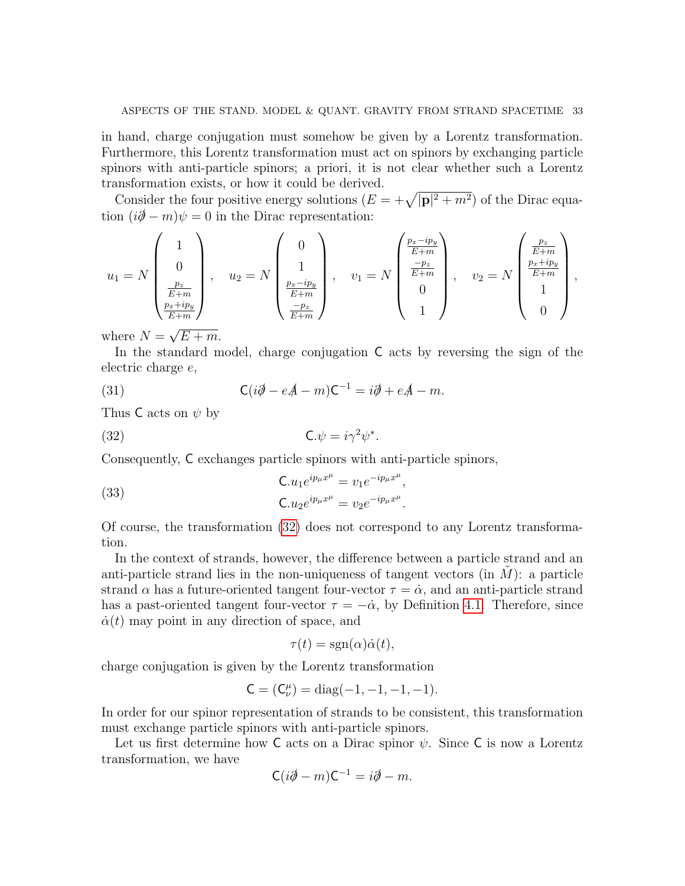in hand, charge conjugation must somehow be given by a Lorentz transformation. Furthermore, this Lorentz transformation must act on spinors by exchanging particle spinors with anti-particle spinors; a priori, it is not clear whether such a Lorentz transformation exists, or how it could be derived.

Consider the four positive energy solutions  $(E = +\sqrt{|\mathbf{p}|^2 + m^2})$  of the Dirac equation  $(i\partial - m)\psi = 0$  in the Dirac representation:

$$
u_1 = N \begin{pmatrix} 1 \\ 0 \\ \frac{p_z}{E+m} \\ \frac{p_x + ip_y}{E+m} \end{pmatrix}, \quad u_2 = N \begin{pmatrix} 0 \\ 1 \\ \frac{p_x - ip_y}{E+m} \\ \frac{-p_z}{E+m} \end{pmatrix}, \quad v_1 = N \begin{pmatrix} \frac{p_x - ip_y}{E+m} \\ \frac{-p_z}{E+m} \\ 0 \\ 1 \end{pmatrix}, \quad v_2 = N \begin{pmatrix} \frac{p_z}{E+m} \\ \frac{p_x + ip_y}{E+m} \\ 1 \\ 0 \end{pmatrix},
$$

where  $N =$  $E + m$ .

In the standard model, charge conjugation C acts by reversing the sign of the electric charge e,

<span id="page-32-2"></span>(31) 
$$
\mathsf{C}(i\partial \!\!\!/ - e\mathsf{A} - m)\mathsf{C}^{-1} = i\partial \!\!\!/ + e\mathsf{A} - m.
$$

Thus C acts on  $\psi$  by

<span id="page-32-0"></span>(32) 
$$
\mathbf{C}.\psi = i\gamma^2 \psi^*.
$$

Consequently, C exchanges particle spinors with anti-particle spinors,

<span id="page-32-1"></span>(33) 
$$
\mathbf{C}.u_1 e^{ip_\mu x^\mu} = v_1 e^{-ip_\mu x^\mu}, \mathbf{C}.u_2 e^{ip_\mu x^\mu} = v_2 e^{-ip_\mu x^\mu}.
$$

Of course, the transformation [\(32\)](#page-32-0) does not correspond to any Lorentz transformation.

In the context of strands, however, the difference between a particle strand and an anti-particle strand lies in the non-uniqueness of tangent vectors (in  $M$ ): a particle strand  $\alpha$  has a future-oriented tangent four-vector  $\tau = \dot{\alpha}$ , and an anti-particle strand has a past-oriented tangent four-vector  $\tau = -\dot{\alpha}$ , by Definition [4.1.](#page-11-2) Therefore, since  $\dot{\alpha}(t)$  may point in any direction of space, and

$$
\tau(t) = \text{sgn}(\alpha)\dot{\alpha}(t),
$$

charge conjugation is given by the Lorentz transformation

$$
C = (C_{\nu}^{\mu}) = \text{diag}(-1, -1, -1, -1).
$$

In order for our spinor representation of strands to be consistent, this transformation must exchange particle spinors with anti-particle spinors.

Let us first determine how C acts on a Dirac spinor  $\psi$ . Since C is now a Lorentz transformation, we have

$$
C(i\partial\!\!\!/-m)C^{-1}=i\partial\!\!\!/-m.
$$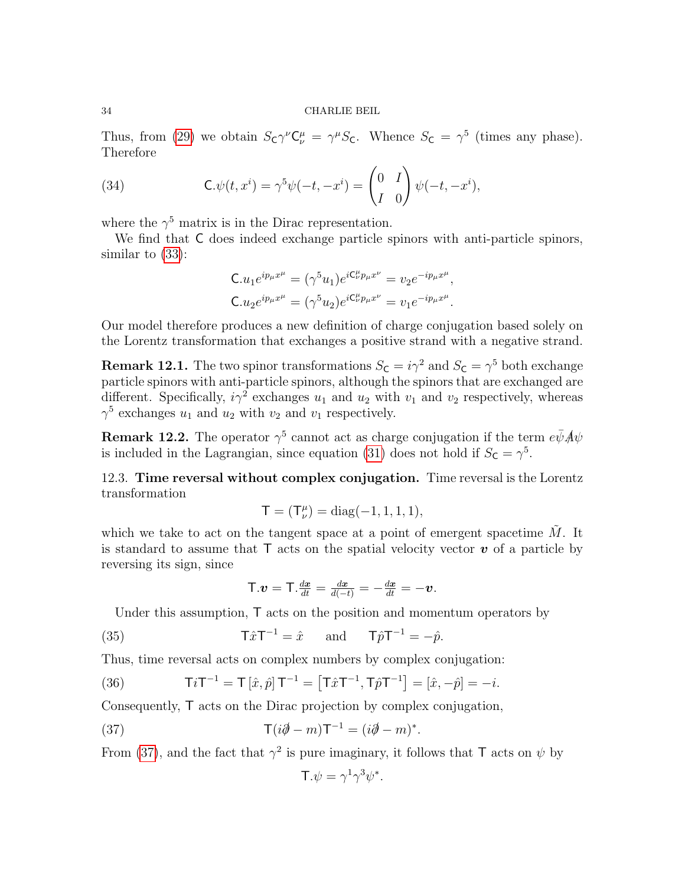Thus, from [\(29\)](#page-31-3) we obtain  $S_{\mathsf{C}}\gamma^{\nu}\mathsf{C}_{\nu}^{\mu} = \gamma^{\mu}S_{\mathsf{C}}$ . Whence  $S_{\mathsf{C}} = \gamma^5$  (times any phase). Therefore

(34) 
$$
\mathsf{C}.\psi(t,x^i) = \gamma^5 \psi(-t,-x^i) = \begin{pmatrix} 0 & I \\ I & 0 \end{pmatrix} \psi(-t,-x^i),
$$

where the  $\gamma^5$  matrix is in the Dirac representation.

We find that C does indeed exchange particle spinors with anti-particle spinors, similar to [\(33\)](#page-32-1):

<span id="page-33-4"></span>
$$
C.u_1e^{ip_\mu x^\mu} = (\gamma^5 u_1)e^{iC_\nu^{\mu}p_\mu x^\nu} = v_2e^{-ip_\mu x^\mu},
$$
  

$$
C.u_2e^{ip_\mu x^\mu} = (\gamma^5 u_2)e^{iC_\nu^{\mu}p_\mu x^\nu} = v_1e^{-ip_\mu x^\mu}.
$$

Our model therefore produces a new definition of charge conjugation based solely on the Lorentz transformation that exchanges a positive strand with a negative strand.

**Remark 12.1.** The two spinor transformations  $S_c = i\gamma^2$  and  $S_c = \gamma^5$  both exchange particle spinors with anti-particle spinors, although the spinors that are exchanged are different. Specifically,  $i\gamma^2$  exchanges  $u_1$  and  $u_2$  with  $v_1$  and  $v_2$  respectively, whereas  $\gamma^5$  exchanges  $u_1$  and  $u_2$  with  $v_2$  and  $v_1$  respectively.

**Remark 12.2.** The operator  $\gamma^5$  cannot act as charge conjugation if the term  $e\bar{\psi}A\psi$ is included in the Lagrangian, since equation [\(31\)](#page-32-2) does not hold if  $S_{\mathsf{C}} = \gamma^5$ .

<span id="page-33-3"></span>12.3. Time reversal without complex conjugation. Time reversal is the Lorentz transformation

$$
T = (T^{\mu}_{\nu}) = diag(-1, 1, 1, 1),
$$

which we take to act on the tangent space at a point of emergent spacetime  $\tilde{M}$ . It is standard to assume that  $\mathsf{T}$  acts on the spatial velocity vector  $\mathbf{v}$  of a particle by reversing its sign, since

<span id="page-33-1"></span>
$$
\mathsf{T}.\boldsymbol{v}=\mathsf{T}.\tfrac{d\boldsymbol{x}}{dt}=\tfrac{d\boldsymbol{x}}{d(-t)}=-\tfrac{d\boldsymbol{x}}{dt}=-\boldsymbol{v}.
$$

Under this assumption, T acts on the position and momentum operators by

(35) 
$$
\mathsf{T}\hat{x}\mathsf{T}^{-1} = \hat{x} \quad \text{and} \quad \mathsf{T}\hat{p}\mathsf{T}^{-1} = -\hat{p}.
$$

Thus, time reversal acts on complex numbers by complex conjugation:

<span id="page-33-2"></span>(36) 
$$
\mathsf{T}i\mathsf{T}^{-1} = \mathsf{T}[\hat{x}, \hat{p}]\mathsf{T}^{-1} = [\mathsf{T}\hat{x}\mathsf{T}^{-1}, \mathsf{T}\hat{p}\mathsf{T}^{-1}] = [\hat{x}, -\hat{p}] = -i.
$$

Consequently, T acts on the Dirac projection by complex conjugation,

(37) 
$$
\mathsf{T}(i\partial \hspace{-8pt}/ - m)\mathsf{T}^{-1} = (i\partial \hspace{-8pt}/ - m)^*.
$$

From [\(37\)](#page-33-0), and the fact that  $\gamma^2$  is pure imaginary, it follows that T acts on  $\psi$  by

<span id="page-33-0"></span>
$$
\mathsf{T}.\psi = \gamma^1 \gamma^3 \psi^*.
$$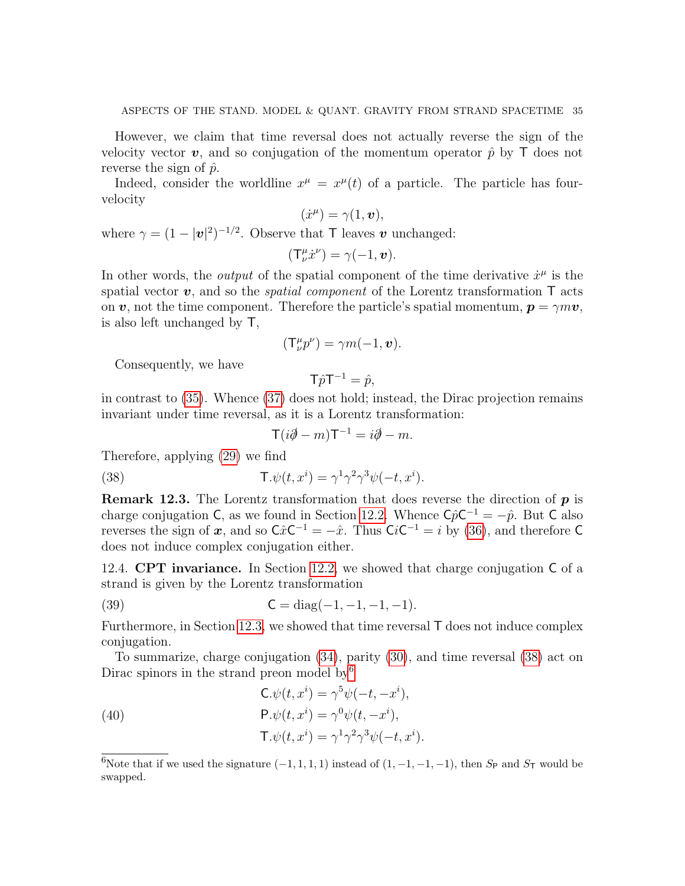However, we claim that time reversal does not actually reverse the sign of the velocity vector v, and so conjugation of the momentum operator  $\hat{p}$  by T does not reverse the sign of  $\hat{p}$ .

Indeed, consider the worldline  $x^{\mu} = x^{\mu}(t)$  of a particle. The particle has fourvelocity

$$
(\dot{x}^{\mu}) = \gamma(1, \boldsymbol{v}),
$$

where  $\gamma = (1 - |\mathbf{v}|^2)^{-1/2}$ . Observe that T leaves v unchanged:

$$
(\mathsf{T}^\mu_\nu \dot{x}^\nu) = \gamma(-1,\boldsymbol{v}).
$$

In other words, the *output* of the spatial component of the time derivative  $\dot{x}^{\mu}$  is the spatial vector  $\boldsymbol{v}$ , and so the *spatial component* of the Lorentz transformation  $\boldsymbol{\mathsf{T}}$  acts on v, not the time component. Therefore the particle's spatial momentum,  $p = \gamma m v$ , is also left unchanged by T,

$$
(\mathsf{T}_{\nu}^{\mu}p^{\nu})=\gamma m(-1,\boldsymbol{v}).
$$

Consequently, we have

$$
T\hat{p}T^{-1} = \hat{p},
$$

in contrast to [\(35\)](#page-33-1). Whence [\(37\)](#page-33-0) does not hold; instead, the Dirac projection remains invariant under time reversal, as it is a Lorentz transformation:

<span id="page-34-0"></span>
$$
T(i\partial\!\!\!/-m)\mathsf{T}^{-1}=i\partial\!\!\!/-m.
$$

Therefore, applying [\(29\)](#page-31-3) we find

(38) 
$$
\mathsf{T}.\psi(t,x^i) = \gamma^1 \gamma^2 \gamma^3 \psi(-t,x^i).
$$

**Remark 12.3.** The Lorentz transformation that does reverse the direction of  $p$  is charge conjugation C, as we found in Section [12.2.](#page-31-1) Whence  $C\hat{p}C^{-1} = -\hat{p}$ . But C also reverses the sign of x, and so  $C\hat{x}C^{-1} = -\hat{x}$ . Thus  $CiC^{-1} = i$  by [\(36\)](#page-33-2), and therefore C does not induce complex conjugation either.

12.4. CPT invariance. In Section [12.2,](#page-31-1) we showed that charge conjugation C of a strand is given by the Lorentz transformation

<span id="page-34-2"></span>(39) 
$$
C = diag(-1, -1, -1, -1).
$$

Furthermore, in Section [12.3,](#page-33-3) we showed that time reversal T does not induce complex conjugation.

To summarize, charge conjugation [\(34\)](#page-33-4), parity [\(30\)](#page-31-4), and time reversal [\(38\)](#page-34-0) act on Dirac spinors in the strand preon model by  $6\%$  $6\%$ 

<span id="page-34-3"></span>(40)  
\n
$$
\mathbf{C}.\psi(t, x^{i}) = \gamma^{5}\psi(-t, -x^{i}),
$$
\n
$$
\mathbf{P}.\psi(t, x^{i}) = \gamma^{0}\psi(t, -x^{i}),
$$
\n
$$
\mathbf{T}.\psi(t, x^{i}) = \gamma^{1}\gamma^{2}\gamma^{3}\psi(-t, x^{i}).
$$

<span id="page-34-1"></span><sup>6</sup>Note that if we used the signature  $(-1, 1, 1, 1)$  instead of  $(1, -1, -1, -1)$ , then  $S_P$  and  $S_T$  would be swapped.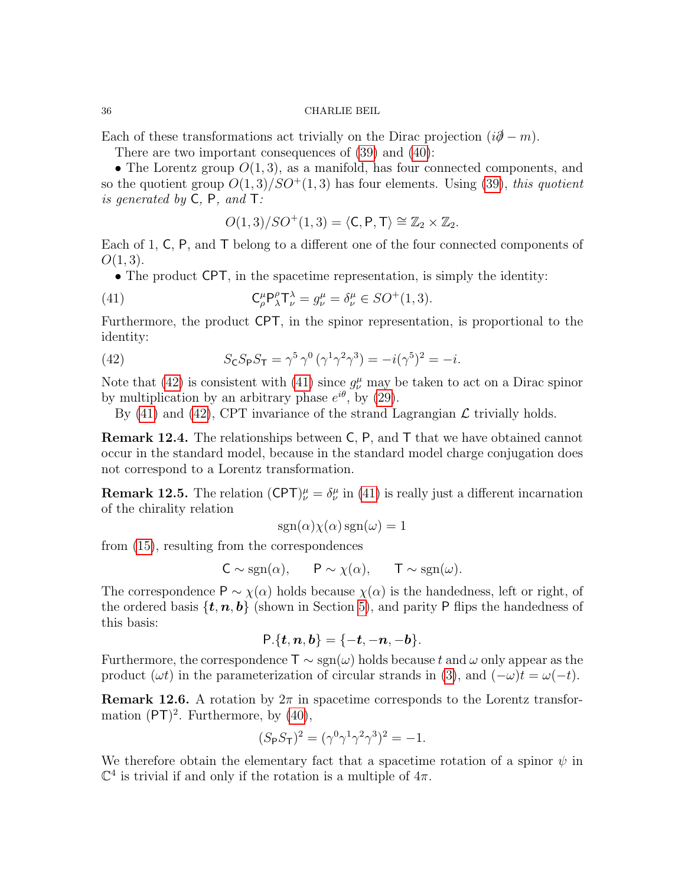Each of these transformations act trivially on the Dirac projection  $(i\partial \hspace{-1.2mm} / -m)$ .

There are two important consequences of [\(39\)](#page-34-2) and [\(40\)](#page-34-3):

• The Lorentz group  $O(1,3)$ , as a manifold, has four connected components, and so the quotient group  $O(1,3)/SO^+(1,3)$  has four elements. Using [\(39\)](#page-34-2), this quotient is generated by  $C$ ,  $P$ , and  $T$ :

<span id="page-35-1"></span>
$$
O(1,3)/SO^+(1,3) = \langle \mathsf{C}, \mathsf{P}, \mathsf{T} \rangle \cong \mathbb{Z}_2 \times \mathbb{Z}_2.
$$

Each of 1, C, P, and T belong to a different one of the four connected components of  $O(1, 3)$ .

• The product CPT, in the spacetime representation, is simply the identity:

(41) 
$$
\mathsf{C}_{\rho}^{\mu} \mathsf{P}_{\lambda}^{\rho} \mathsf{T}_{\nu}^{\lambda} = g_{\nu}^{\mu} = \delta_{\nu}^{\mu} \in SO^{+}(1,3).
$$

Furthermore, the product CPT, in the spinor representation, is proportional to the identity:

<span id="page-35-0"></span>(42) 
$$
S_{\mathsf{C}} S_{\mathsf{P}} S_{\mathsf{T}} = \gamma^5 \gamma^0 (\gamma^1 \gamma^2 \gamma^3) = -i(\gamma^5)^2 = -i.
$$

Note that [\(42\)](#page-35-0) is consistent with [\(41\)](#page-35-1) since  $g^{\mu}_{\nu}$  may be taken to act on a Dirac spinor by multiplication by an arbitrary phase  $e^{i\theta}$ , by [\(29\)](#page-31-3).

By [\(41\)](#page-35-1) and [\(42\)](#page-35-0), CPT invariance of the strand Lagrangian  $\mathcal L$  trivially holds.

Remark 12.4. The relationships between C, P, and T that we have obtained cannot occur in the standard model, because in the standard model charge conjugation does not correspond to a Lorentz transformation.

**Remark 12.5.** The relation  $(CPT)_{\nu}^{\mu} = \delta_{\nu}^{\mu}$  in [\(41\)](#page-35-1) is really just a different incarnation of the chirality relation

$$
sgn(\alpha)\chi(\alpha)sgn(\omega) = 1
$$

from [\(15\)](#page-12-3), resulting from the correspondences

$$
C \sim \text{sgn}(\alpha), \qquad P \sim \chi(\alpha), \qquad T \sim \text{sgn}(\omega).
$$

The correspondence  $P \sim \chi(\alpha)$  holds because  $\chi(\alpha)$  is the handedness, left or right, of the ordered basis  $\{t, n, b\}$  (shown in Section [5\)](#page-11-0), and parity P flips the handedness of this basis:

$$
\mathsf{P.}\{\boldsymbol{t},\boldsymbol{n},\boldsymbol{b}\}=\{-\boldsymbol{t},-\boldsymbol{n},-\boldsymbol{b}\}.
$$

Furthermore, the correspondence  $\mathsf{T} \sim \text{sgn}(\omega)$  holds because t and  $\omega$  only appear as the product  $(\omega t)$  in the parameterization of circular strands in [\(3\)](#page-5-1), and  $(-\omega)t = \omega(-t)$ .

**Remark 12.6.** A rotation by  $2\pi$  in spacetime corresponds to the Lorentz transformation  $(PT)^2$ . Furthermore, by  $(40)$ ,

$$
(S_{\rm P}S_{\rm T})^2 = (\gamma^0 \gamma^1 \gamma^2 \gamma^3)^2 = -1.
$$

We therefore obtain the elementary fact that a spacetime rotation of a spinor  $\psi$  in  $\mathbb{C}^4$  is trivial if and only if the rotation is a multiple of  $4\pi$ .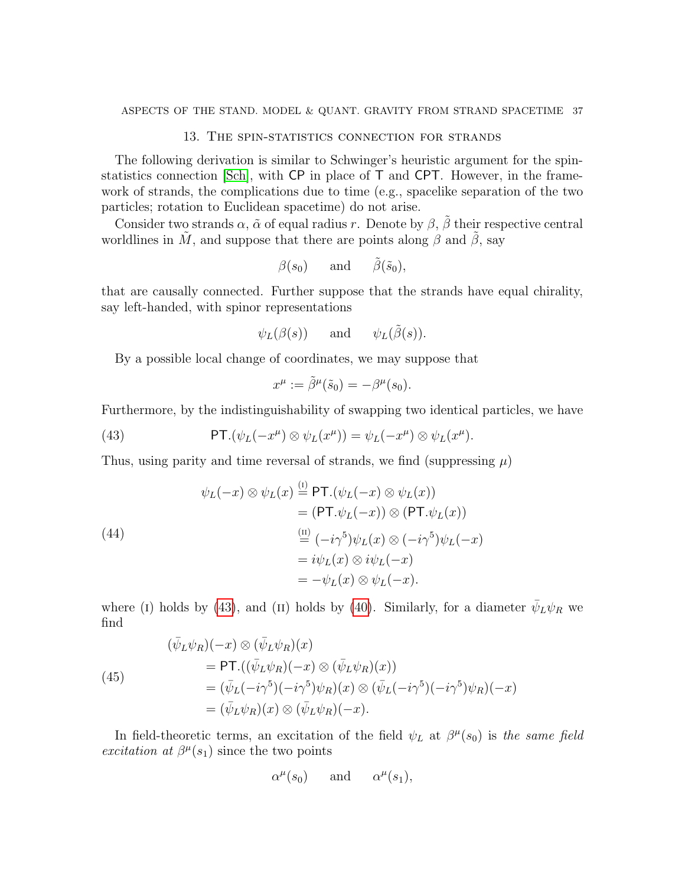### 13. The spin-statistics connection for strands

<span id="page-36-0"></span>The following derivation is similar to Schwinger's heuristic argument for the spinstatistics connection [\[Sch\]](#page-38-20), with CP in place of T and CPT. However, in the framework of strands, the complications due to time (e.g., spacelike separation of the two particles; rotation to Euclidean spacetime) do not arise.

Consider two strands  $\alpha$ ,  $\tilde{\alpha}$  of equal radius r. Denote by  $\beta$ ,  $\beta$  their respective central worldlines in  $\tilde{M}$ , and suppose that there are points along  $\beta$  and  $\tilde{\beta}$ , say

$$
\beta(s_0)
$$
 and  $\tilde{\beta}(\tilde{s}_0)$ ,

that are causally connected. Further suppose that the strands have equal chirality, say left-handed, with spinor representations

$$
\psi_L(\beta(s))
$$
 and  $\psi_L(\tilde{\beta}(s)).$ 

By a possible local change of coordinates, we may suppose that

<span id="page-36-1"></span>
$$
x^{\mu} := \tilde{\beta}^{\mu}(\tilde{s}_0) = -\beta^{\mu}(s_0).
$$

Furthermore, by the indistinguishability of swapping two identical particles, we have

(43) 
$$
\mathsf{PT}.(\psi_L(-x^{\mu}) \otimes \psi_L(x^{\mu})) = \psi_L(-x^{\mu}) \otimes \psi_L(x^{\mu}).
$$

Thus, using parity and time reversal of strands, we find (suppressing  $\mu$ )

<span id="page-36-2"></span>(44)  
\n
$$
\psi_L(-x) \otimes \psi_L(x) \stackrel{\text{(i)}}{=} \text{PT.}(\psi_L(-x) \otimes \psi_L(x))
$$
\n
$$
= (\text{PT.}\psi_L(-x)) \otimes (\text{PT.}\psi_L(x))
$$
\n
$$
\stackrel{\text{(ii)}}{=} (-i\gamma^5)\psi_L(x) \otimes (-i\gamma^5)\psi_L(-x)
$$
\n
$$
= i\psi_L(x) \otimes i\psi_L(-x)
$$
\n
$$
= -\psi_L(x) \otimes \psi_L(-x).
$$

where (I) holds by [\(43\)](#page-36-1), and (II) holds by [\(40\)](#page-34-3). Similarly, for a diameter  $\bar{\psi}_L \psi_R$  we find

<span id="page-36-3"></span>(45)  
\n
$$
(\bar{\psi}_L \psi_R)(-x) \otimes (\bar{\psi}_L \psi_R)(x)
$$
\n
$$
= \mathsf{PT}.((\bar{\psi}_L \psi_R)(-x) \otimes (\bar{\psi}_L \psi_R)(x))
$$
\n
$$
= (\bar{\psi}_L(-i\gamma^5)(-i\gamma^5)\psi_R)(x) \otimes (\bar{\psi}_L(-i\gamma^5)(-i\gamma^5)\psi_R)(-x)
$$
\n
$$
= (\bar{\psi}_L \psi_R)(x) \otimes (\bar{\psi}_L \psi_R)(-x).
$$

In field-theoretic terms, an excitation of the field  $\psi_L$  at  $\beta^{\mu}(s_0)$  is the same field excitation at  $\beta^{\mu}(s_1)$  since the two points

$$
\alpha^{\mu}(s_0)
$$
 and  $\alpha^{\mu}(s_1)$ ,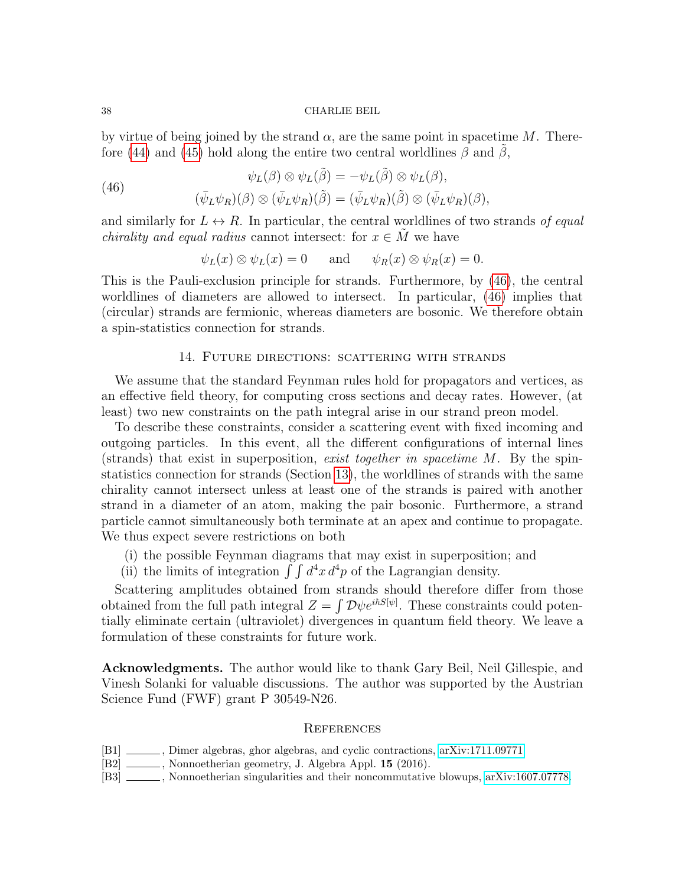by virtue of being joined by the strand  $\alpha$ , are the same point in spacetime M. There-fore [\(44\)](#page-36-2) and [\(45\)](#page-36-3) hold along the entire two central worldlines  $\beta$  and  $\beta$ ,

<span id="page-37-5"></span>(46)  
\n
$$
\psi_L(\beta) \otimes \psi_L(\tilde{\beta}) = -\psi_L(\tilde{\beta}) \otimes \psi_L(\beta),
$$
\n
$$
(\bar{\psi}_L \psi_R)(\beta) \otimes (\bar{\psi}_L \psi_R)(\tilde{\beta}) = (\bar{\psi}_L \psi_R)(\tilde{\beta}) \otimes (\bar{\psi}_L \psi_R)(\beta),
$$

and similarly for  $L \leftrightarrow R$ . In particular, the central worldlines of two strands of equal *chirality and equal radius* cannot intersect: for  $x \in M$  we have

$$
\psi_L(x) \otimes \psi_L(x) = 0
$$
 and  $\psi_R(x) \otimes \psi_R(x) = 0$ .

This is the Pauli-exclusion principle for strands. Furthermore, by [\(46\)](#page-37-5), the central worldlines of diameters are allowed to intersect. In particular, [\(46\)](#page-37-5) implies that (circular) strands are fermionic, whereas diameters are bosonic. We therefore obtain a spin-statistics connection for strands.

### 14. Future directions: scattering with strands

<span id="page-37-0"></span>We assume that the standard Feynman rules hold for propagators and vertices, as an effective field theory, for computing cross sections and decay rates. However, (at least) two new constraints on the path integral arise in our strand preon model.

To describe these constraints, consider a scattering event with fixed incoming and outgoing particles. In this event, all the different configurations of internal lines (strands) that exist in superposition, exist together in spacetime M. By the spinstatistics connection for strands (Section [13\)](#page-36-0), the worldlines of strands with the same chirality cannot intersect unless at least one of the strands is paired with another strand in a diameter of an atom, making the pair bosonic. Furthermore, a strand particle cannot simultaneously both terminate at an apex and continue to propagate. We thus expect severe restrictions on both

- (i) the possible Feynman diagrams that may exist in superposition; and
- (ii) the limits of integration  $\int \int d^4x d^4p$  of the Lagrangian density.

Scattering amplitudes obtained from strands should therefore differ from those obtained from the full path integral  $Z = \int \mathcal{D}\psi e^{i\hbar S[\psi]}$ . These constraints could potentially eliminate certain (ultraviolet) divergences in quantum field theory. We leave a formulation of these constraints for future work.

Acknowledgments. The author would like to thank Gary Beil, Neil Gillespie, and Vinesh Solanki for valuable discussions. The author was supported by the Austrian Science Fund (FWF) grant P 30549-N26.

#### <span id="page-37-1"></span>**REFERENCES**

- <span id="page-37-4"></span>[B1] , Dimer algebras, ghor algebras, and cyclic contractions, [arXiv:1711.09771.](http://arxiv.org/abs/1711.09771)
- <span id="page-37-2"></span>[B2] \_\_\_\_\_\_, Nonnoetherian geometry, J. Algebra Appl. 15 (2016).
- <span id="page-37-3"></span>[B3] Nonnoetherian singularities and their noncommutative blowups, [arXiv:1607.07778.](http://arxiv.org/abs/1607.07778)